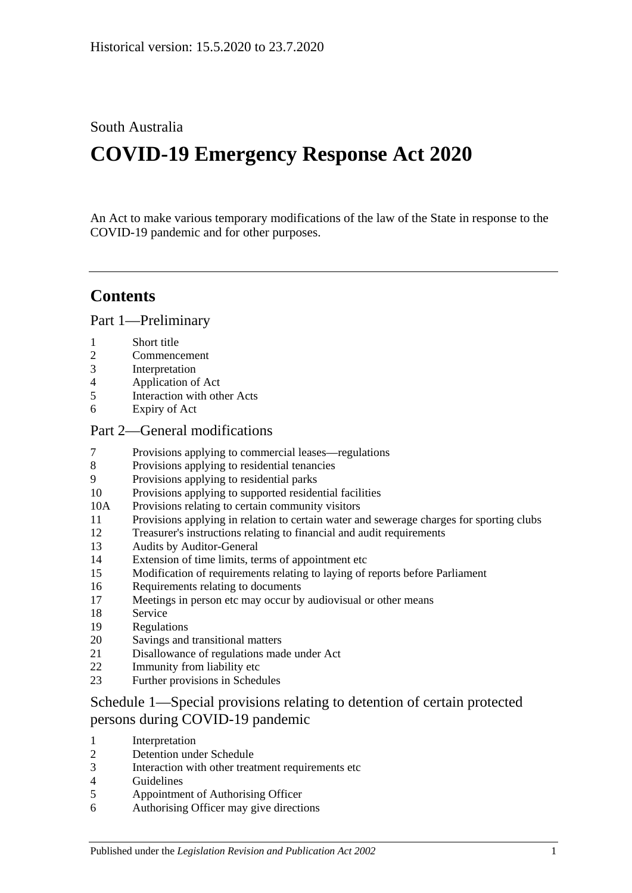## South Australia

# **COVID-19 Emergency Response Act 2020**

An Act to make various temporary modifications of the law of the State in response to the COVID-19 pandemic and for other purposes.

## **Contents**

Part [1—Preliminary](#page-2-0)

- [Short title](#page-2-1)
- [Commencement](#page-2-2)
- [Interpretation](#page-2-3)
- [Application of Act](#page-2-4)
- [Interaction with other Acts](#page-2-5)
- [Expiry of Act](#page-2-6)

#### Part [2—General modifications](#page-3-0)

- [Provisions applying to commercial leases—regulations](#page-3-1)
- [Provisions applying to residential tenancies](#page-6-0)
- [Provisions applying to residential parks](#page-9-0)
- [Provisions applying to supported residential facilities](#page-10-0)
- 10A [Provisions relating to certain community visitors](#page-11-0)
- [Provisions applying in relation to certain water and sewerage charges for sporting clubs](#page-13-0)
- [Treasurer's instructions relating to financial and audit requirements](#page-14-0)
- [Audits by Auditor-General](#page-15-0)
- [Extension of time limits, terms of appointment etc](#page-15-1)
- [Modification of requirements relating to laying of reports before Parliament](#page-16-0)
- [Requirements relating to documents](#page-17-0)
- [Meetings in person etc may occur by audiovisual or other means](#page-17-1)
- [Service](#page-17-2)
- [Regulations](#page-17-3)
- [Savings and transitional matters](#page-19-0)
- [Disallowance of regulations made under Act](#page-20-0)
- [Immunity from liability etc](#page-20-1)
- [Further provisions in Schedules](#page-20-2)

## Schedule [1—Special provisions relating to detention of certain protected](#page-20-3)  [persons during COVID-19 pandemic](#page-20-3)

- [Interpretation](#page-20-4)
- [Detention under Schedule](#page-21-0)
- [Interaction with other treatment requirements etc](#page-22-0)
- [Guidelines](#page-22-1)
- [Appointment of Authorising Officer](#page-22-2)
- [Authorising Officer may give directions](#page-23-0)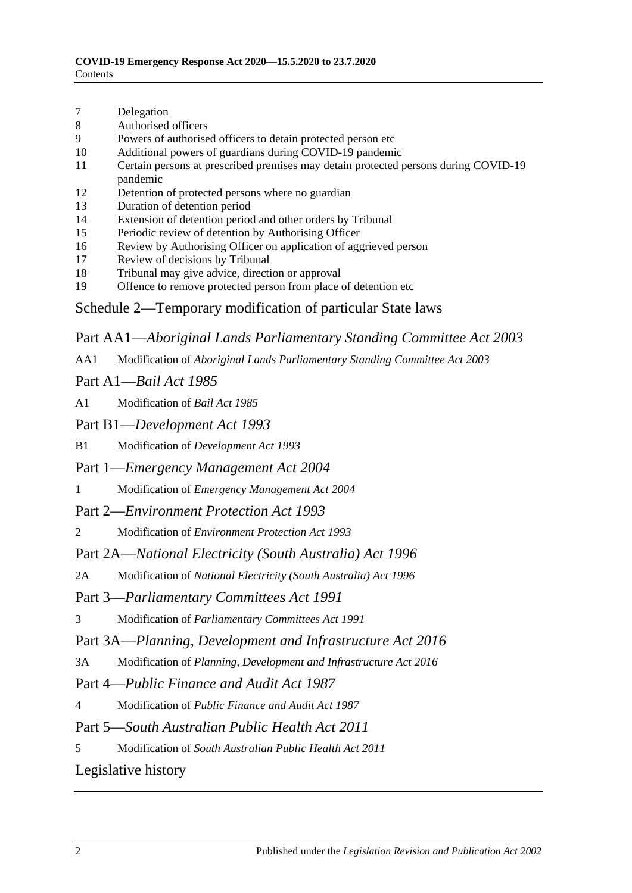- 7 [Delegation](#page-23-1)
- 8 [Authorised officers](#page-24-0)
- 9 [Powers of authorised officers to detain protected person etc](#page-24-1)
- 10 [Additional powers of guardians during COVID-19 pandemic](#page-25-0)
- 11 [Certain persons at prescribed premises may detain protected persons during COVID-19](#page-25-1)  [pandemic](#page-25-1)
- 12 [Detention of protected persons where no guardian](#page-26-0)
- 13 [Duration of detention period](#page-26-1)
- 14 [Extension of detention period and other orders by Tribunal](#page-27-0)
- 15 [Periodic review of detention by Authorising Officer](#page-27-1)
- 16 [Review by Authorising Officer on application of aggrieved person](#page-27-2)
- 17 [Review of decisions by Tribunal](#page-28-0)
- 18 [Tribunal may give advice, direction or approval](#page-28-1)
- 19 [Offence to remove protected person from place of detention etc](#page-28-2)
- Schedule [2—Temporary modification of particular State laws](#page-29-0)

Part AA1—*Aboriginal Lands Parliamentary Standing Committee Act 2003*

AA1 Modification of *[Aboriginal Lands Parliamentary Standing Committee Act](#page-29-1) 2003*

#### Part A1—*Bail Act 1985*

A1 [Modification of](#page-29-2) *Bail Act 1985*

Part B1—*Development Act 1993*

- B1 Modification of *[Development Act](#page-30-0) 1993*
- Part 1—*Emergency Management Act 2004*
- 1 Modification of *[Emergency Management Act](#page-30-1) 2004*
- Part 2—*Environment Protection Act 1993*
- 2 Modification of *[Environment Protection Act](#page-33-0) 1993*

Part 2A—*National Electricity (South Australia) Act 1996*

2A Modification of *[National Electricity \(South Australia\) Act](#page-33-1) 1996*

#### Part 3—*Parliamentary Committees Act 1991*

3 Modification of *[Parliamentary Committees Act](#page-34-0) 1991*

#### Part 3A—*Planning, Development and Infrastructure Act 2016*

3A Modification of *[Planning, Development and Infrastructure Act](#page-36-0) 2016*

Part 4—*Public Finance and Audit Act 1987*

- 4 Modification of *[Public Finance and Audit Act](#page-36-1) 1987*
- Part 5—*South Australian Public Health Act 2011*
- 5 Modification of *[South Australian Public Health Act](#page-36-2) 2011*

[Legislative history](#page-38-0)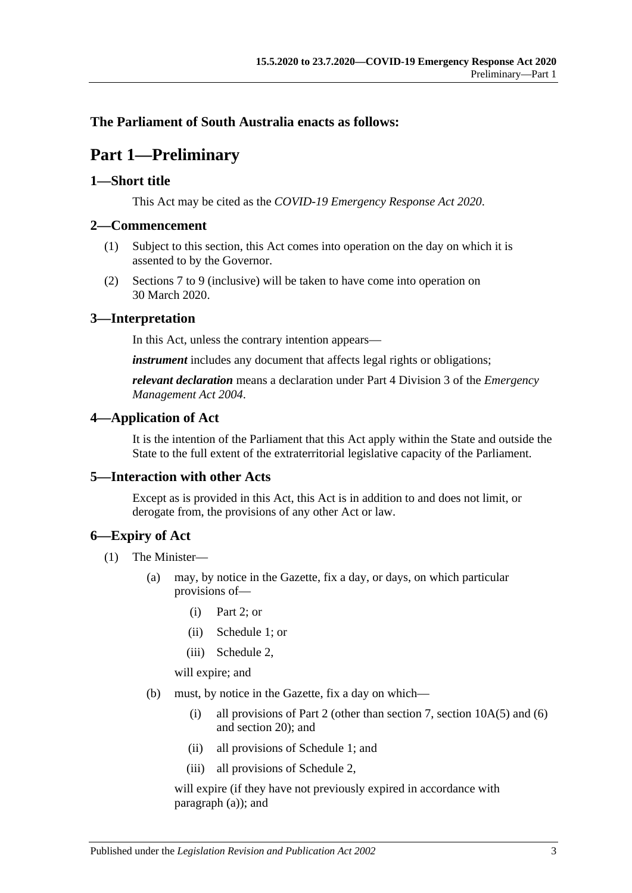### <span id="page-2-0"></span>**The Parliament of South Australia enacts as follows:**

## **Part 1—Preliminary**

#### <span id="page-2-1"></span>**1—Short title**

This Act may be cited as the *COVID-19 Emergency Response Act 2020*.

#### <span id="page-2-2"></span>**2—Commencement**

- (1) Subject to this section, this Act comes into operation on the day on which it is assented to by the Governor.
- (2) Sections 7 to [9](#page-9-0) (inclusive) will be taken to have come into operation on 30 March 2020.

## <span id="page-2-3"></span>**3—Interpretation**

In this Act, unless the contrary intention appears—

*instrument* includes any document that affects legal rights or obligations;

*relevant declaration* means a declaration under Part 4 Division 3 of the *[Emergency](http://www.legislation.sa.gov.au/index.aspx?action=legref&type=act&legtitle=Emergency%20Management%20Act%202004)  [Management Act](http://www.legislation.sa.gov.au/index.aspx?action=legref&type=act&legtitle=Emergency%20Management%20Act%202004) 2004*.

## <span id="page-2-4"></span>**4—Application of Act**

It is the intention of the Parliament that this Act apply within the State and outside the State to the full extent of the extraterritorial legislative capacity of the Parliament.

## <span id="page-2-5"></span>**5—Interaction with other Acts**

Except as is provided in this Act, this Act is in addition to and does not limit, or derogate from, the provisions of any other Act or law.

## <span id="page-2-6"></span>**6—Expiry of Act**

- <span id="page-2-7"></span>(1) The Minister—
	- (a) may, by notice in the Gazette, fix a day, or days, on which particular provisions of—
		- (i) [Part](#page-3-0) 2; or
		- (ii) [Schedule](#page-20-3) 1; or
		- (iii) [Schedule](#page-29-0) 2,

will expire; and

- <span id="page-2-8"></span>(b) must, by notice in the Gazette, fix a day on which—
	- (i) all provisions of [Part](#page-3-0) 2 (other than [section](#page-12-0) 7, section  $10A(5)$  and [\(6\)](#page-12-1) and [section](#page-19-0) 20); and
	- (ii) all provisions of [Schedule](#page-20-3) 1; and
	- (iii) all provisions of [Schedule](#page-29-0) 2,

will expire (if they have not previously expired in accordance with [paragraph](#page-2-7) (a)); and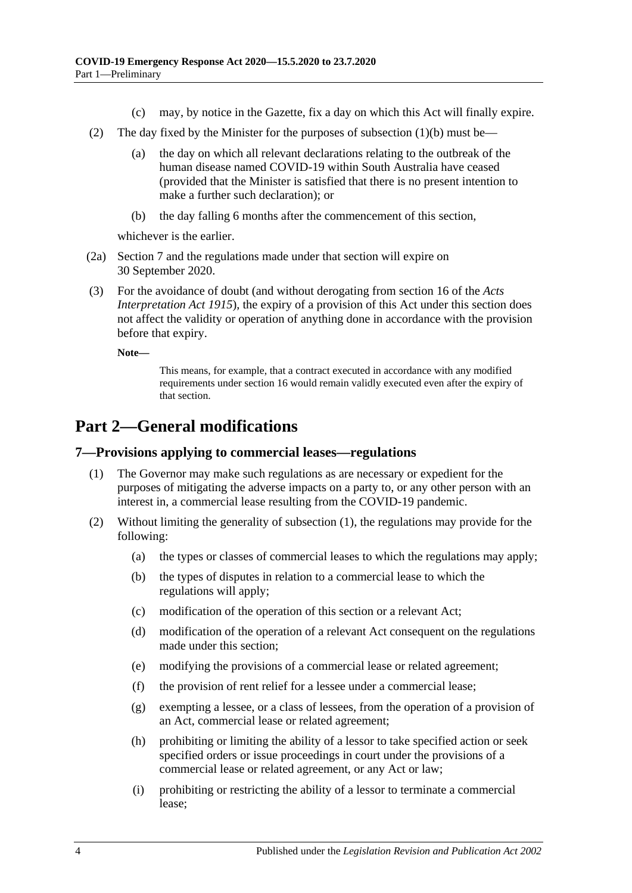- (c) may, by notice in the Gazette, fix a day on which this Act will finally expire.
- (2) The day fixed by the Minister for the purposes of [subsection](#page-2-8) (1)(b) must be—
	- (a) the day on which all relevant declarations relating to the outbreak of the human disease named COVID-19 within South Australia have ceased (provided that the Minister is satisfied that there is no present intention to make a further such declaration); or
	- (b) the day falling 6 months after the commencement of this section,

whichever is the earlier.

- (2a) Section 7 and the regulations made under that section will expire on 30 September 2020.
- (3) For the avoidance of doubt (and without derogating from section 16 of the *[Acts](http://www.legislation.sa.gov.au/index.aspx?action=legref&type=act&legtitle=Acts%20Interpretation%20Act%201915)  [Interpretation Act](http://www.legislation.sa.gov.au/index.aspx?action=legref&type=act&legtitle=Acts%20Interpretation%20Act%201915) 1915*), the expiry of a provision of this Act under this section does not affect the validity or operation of anything done in accordance with the provision before that expiry.

**Note—**

This means, for example, that a contract executed in accordance with any modified requirements under [section](#page-17-0) 16 would remain validly executed even after the expiry of that section.

## <span id="page-3-0"></span>**Part 2—General modifications**

#### <span id="page-3-2"></span><span id="page-3-1"></span>**7—Provisions applying to commercial leases—regulations**

- (1) The Governor may make such regulations as are necessary or expedient for the purposes of mitigating the adverse impacts on a party to, or any other person with an interest in, a commercial lease resulting from the COVID-19 pandemic.
- (2) Without limiting the generality of [subsection](#page-3-2) (1), the regulations may provide for the following:
	- (a) the types or classes of commercial leases to which the regulations may apply;
	- (b) the types of disputes in relation to a commercial lease to which the regulations will apply;
	- (c) modification of the operation of this section or a relevant Act;
	- (d) modification of the operation of a relevant Act consequent on the regulations made under this section;
	- (e) modifying the provisions of a commercial lease or related agreement;
	- (f) the provision of rent relief for a lessee under a commercial lease;
	- (g) exempting a lessee, or a class of lessees, from the operation of a provision of an Act, commercial lease or related agreement;
	- (h) prohibiting or limiting the ability of a lessor to take specified action or seek specified orders or issue proceedings in court under the provisions of a commercial lease or related agreement, or any Act or law;
	- (i) prohibiting or restricting the ability of a lessor to terminate a commercial lease;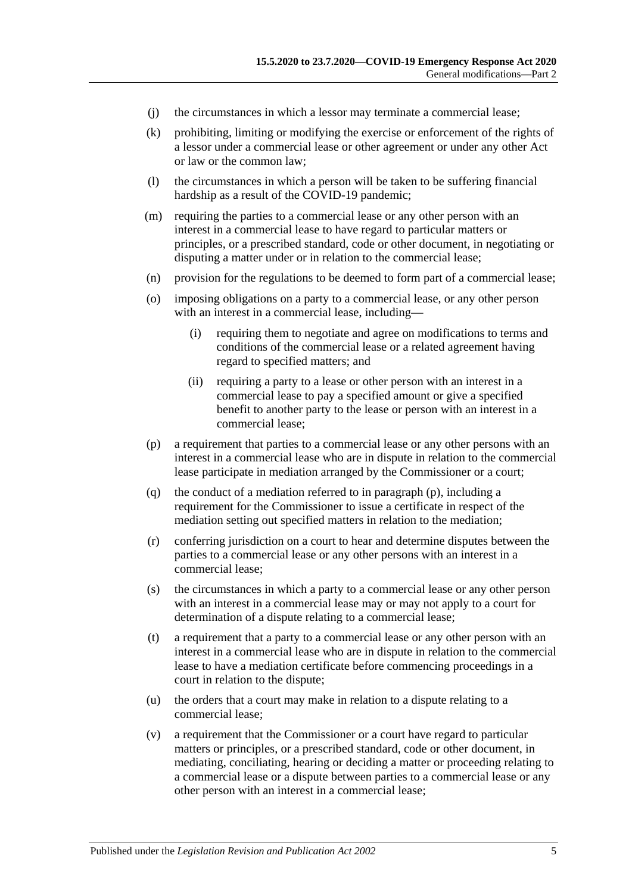- (j) the circumstances in which a lessor may terminate a commercial lease;
- (k) prohibiting, limiting or modifying the exercise or enforcement of the rights of a lessor under a commercial lease or other agreement or under any other Act or law or the common law;
- (l) the circumstances in which a person will be taken to be suffering financial hardship as a result of the COVID-19 pandemic;
- (m) requiring the parties to a commercial lease or any other person with an interest in a commercial lease to have regard to particular matters or principles, or a prescribed standard, code or other document, in negotiating or disputing a matter under or in relation to the commercial lease;
- (n) provision for the regulations to be deemed to form part of a commercial lease;
- (o) imposing obligations on a party to a commercial lease, or any other person with an interest in a commercial lease, including—
	- (i) requiring them to negotiate and agree on modifications to terms and conditions of the commercial lease or a related agreement having regard to specified matters; and
	- (ii) requiring a party to a lease or other person with an interest in a commercial lease to pay a specified amount or give a specified benefit to another party to the lease or person with an interest in a commercial lease;
- <span id="page-4-0"></span>(p) a requirement that parties to a commercial lease or any other persons with an interest in a commercial lease who are in dispute in relation to the commercial lease participate in mediation arranged by the Commissioner or a court;
- (q) the conduct of a mediation referred to in [paragraph](#page-4-0) (p), including a requirement for the Commissioner to issue a certificate in respect of the mediation setting out specified matters in relation to the mediation;
- (r) conferring jurisdiction on a court to hear and determine disputes between the parties to a commercial lease or any other persons with an interest in a commercial lease;
- (s) the circumstances in which a party to a commercial lease or any other person with an interest in a commercial lease may or may not apply to a court for determination of a dispute relating to a commercial lease;
- (t) a requirement that a party to a commercial lease or any other person with an interest in a commercial lease who are in dispute in relation to the commercial lease to have a mediation certificate before commencing proceedings in a court in relation to the dispute;
- (u) the orders that a court may make in relation to a dispute relating to a commercial lease;
- (v) a requirement that the Commissioner or a court have regard to particular matters or principles, or a prescribed standard, code or other document, in mediating, conciliating, hearing or deciding a matter or proceeding relating to a commercial lease or a dispute between parties to a commercial lease or any other person with an interest in a commercial lease;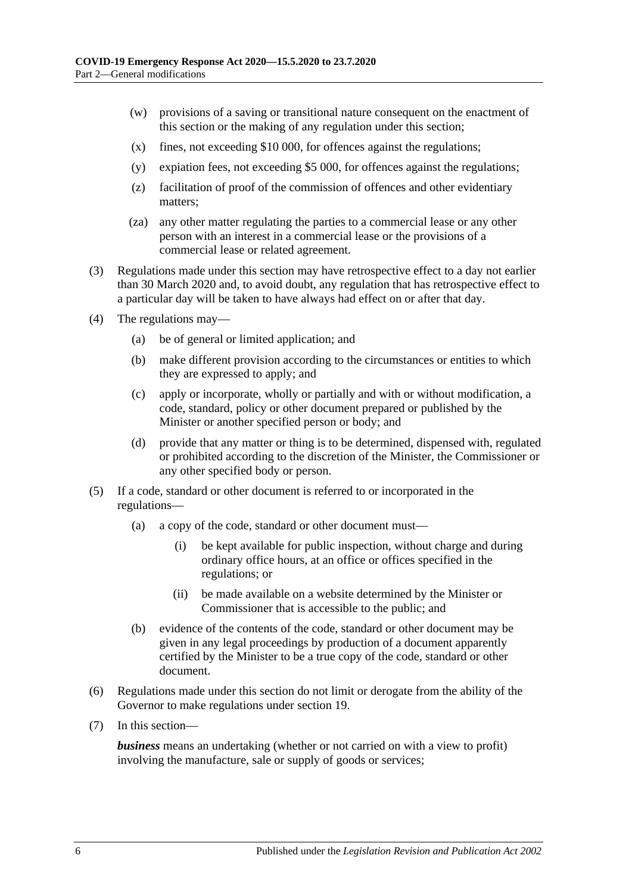- (w) provisions of a saving or transitional nature consequent on the enactment of this section or the making of any regulation under this section;
- (x) fines, not exceeding \$10 000, for offences against the regulations;
- (y) expiation fees, not exceeding \$5 000, for offences against the regulations;
- (z) facilitation of proof of the commission of offences and other evidentiary matters;
- (za) any other matter regulating the parties to a commercial lease or any other person with an interest in a commercial lease or the provisions of a commercial lease or related agreement.
- (3) Regulations made under this section may have retrospective effect to a day not earlier than 30 March 2020 and, to avoid doubt, any regulation that has retrospective effect to a particular day will be taken to have always had effect on or after that day.
- (4) The regulations may—
	- (a) be of general or limited application; and
	- (b) make different provision according to the circumstances or entities to which they are expressed to apply; and
	- (c) apply or incorporate, wholly or partially and with or without modification, a code, standard, policy or other document prepared or published by the Minister or another specified person or body; and
	- (d) provide that any matter or thing is to be determined, dispensed with, regulated or prohibited according to the discretion of the Minister, the Commissioner or any other specified body or person.
- (5) If a code, standard or other document is referred to or incorporated in the regulations—
	- (a) a copy of the code, standard or other document must—
		- (i) be kept available for public inspection, without charge and during ordinary office hours, at an office or offices specified in the regulations; or
		- (ii) be made available on a website determined by the Minister or Commissioner that is accessible to the public; and
	- (b) evidence of the contents of the code, standard or other document may be given in any legal proceedings by production of a document apparently certified by the Minister to be a true copy of the code, standard or other document.
- (6) Regulations made under this section do not limit or derogate from the ability of the Governor to make regulations under [section](#page-17-3) 19.
- (7) In this section—

*business* means an undertaking (whether or not carried on with a view to profit) involving the manufacture, sale or supply of goods or services;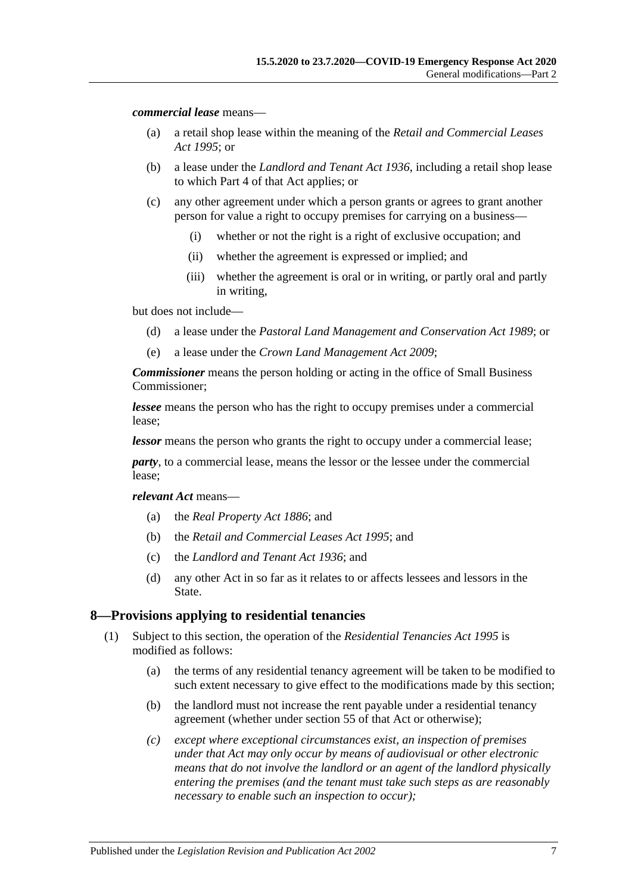*commercial lease* means—

- (a) a retail shop lease within the meaning of the *[Retail and Commercial Leases](http://www.legislation.sa.gov.au/index.aspx?action=legref&type=act&legtitle=Retail%20and%20Commercial%20Leases%20Act%201995)  Act [1995](http://www.legislation.sa.gov.au/index.aspx?action=legref&type=act&legtitle=Retail%20and%20Commercial%20Leases%20Act%201995)*; or
- (b) a lease under the *[Landlord and Tenant Act](http://www.legislation.sa.gov.au/index.aspx?action=legref&type=act&legtitle=Landlord%20and%20Tenant%20Act%201936) 1936*, including a retail shop lease to which Part 4 of that Act applies; or
- (c) any other agreement under which a person grants or agrees to grant another person for value a right to occupy premises for carrying on a business—
	- (i) whether or not the right is a right of exclusive occupation; and
	- (ii) whether the agreement is expressed or implied; and
	- (iii) whether the agreement is oral or in writing, or partly oral and partly in writing,

but does not include—

- (d) a lease under the *[Pastoral Land Management and Conservation Act](http://www.legislation.sa.gov.au/index.aspx?action=legref&type=act&legtitle=Pastoral%20Land%20Management%20and%20Conservation%20Act%201989) 1989*; or
- (e) a lease under the *[Crown Land Management Act](http://www.legislation.sa.gov.au/index.aspx?action=legref&type=act&legtitle=Crown%20Land%20Management%20Act%202009) 2009*;

*Commissioner* means the person holding or acting in the office of Small Business Commissioner;

*lessee* means the person who has the right to occupy premises under a commercial lease;

*lessor* means the person who grants the right to occupy under a commercial lease;

*party*, to a commercial lease, means the lessor or the lessee under the commercial lease;

*relevant Act* means—

- (a) the *[Real Property Act](http://www.legislation.sa.gov.au/index.aspx?action=legref&type=act&legtitle=Real%20Property%20Act%201886) 1886*; and
- (b) the *[Retail and Commercial Leases Act](http://www.legislation.sa.gov.au/index.aspx?action=legref&type=act&legtitle=Retail%20and%20Commercial%20Leases%20Act%201995) 1995*; and
- (c) the *[Landlord and Tenant Act](http://www.legislation.sa.gov.au/index.aspx?action=legref&type=act&legtitle=Landlord%20and%20Tenant%20Act%201936) 1936*; and
- (d) any other Act in so far as it relates to or affects lessees and lessors in the State.

#### <span id="page-6-0"></span>**8—Provisions applying to residential tenancies**

- (1) Subject to this section, the operation of the *[Residential Tenancies Act](http://www.legislation.sa.gov.au/index.aspx?action=legref&type=act&legtitle=Residential%20Tenancies%20Act%201995) 1995* is modified as follows:
	- (a) the terms of any residential tenancy agreement will be taken to be modified to such extent necessary to give effect to the modifications made by this section;
	- (b) the landlord must not increase the rent payable under a residential tenancy agreement (whether under section 55 of that Act or otherwise);
	- *(c) except where exceptional circumstances exist, an inspection of premises under that Act may only occur by means of audiovisual or other electronic means that do not involve the landlord or an agent of the landlord physically entering the premises (and the tenant must take such steps as are reasonably necessary to enable such an inspection to occur);*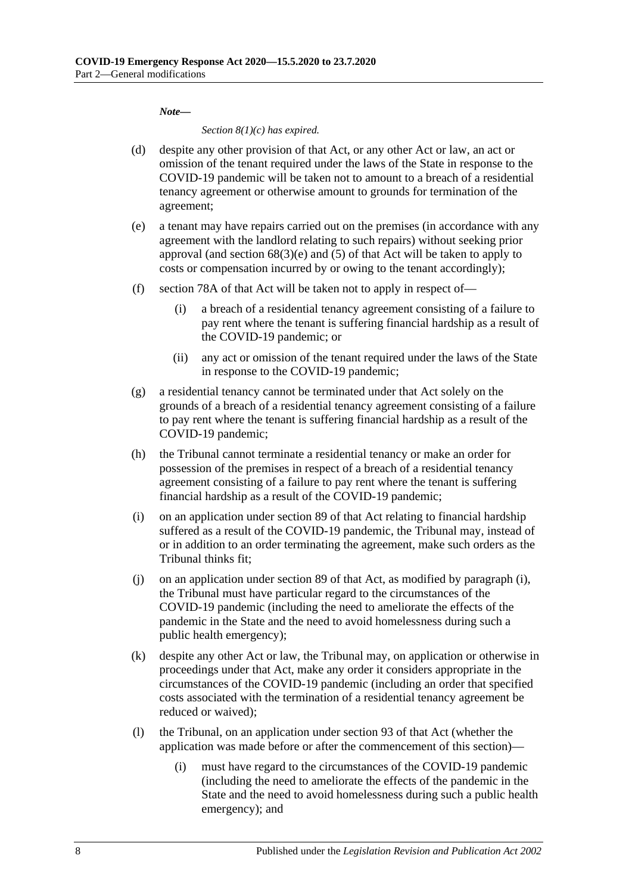*Note***—**

*Section 8(1)(c) has expired.*

- (d) despite any other provision of that Act, or any other Act or law, an act or omission of the tenant required under the laws of the State in response to the COVID-19 pandemic will be taken not to amount to a breach of a residential tenancy agreement or otherwise amount to grounds for termination of the agreement;
- (e) a tenant may have repairs carried out on the premises (in accordance with any agreement with the landlord relating to such repairs) without seeking prior approval (and section  $68(3)(e)$  and  $(5)$  of that Act will be taken to apply to costs or compensation incurred by or owing to the tenant accordingly);
- (f) section 78A of that Act will be taken not to apply in respect of—
	- (i) a breach of a residential tenancy agreement consisting of a failure to pay rent where the tenant is suffering financial hardship as a result of the COVID-19 pandemic; or
	- (ii) any act or omission of the tenant required under the laws of the State in response to the COVID-19 pandemic;
- (g) a residential tenancy cannot be terminated under that Act solely on the grounds of a breach of a residential tenancy agreement consisting of a failure to pay rent where the tenant is suffering financial hardship as a result of the COVID-19 pandemic;
- (h) the Tribunal cannot terminate a residential tenancy or make an order for possession of the premises in respect of a breach of a residential tenancy agreement consisting of a failure to pay rent where the tenant is suffering financial hardship as a result of the COVID-19 pandemic;
- <span id="page-7-0"></span>(i) on an application under section 89 of that Act relating to financial hardship suffered as a result of the COVID-19 pandemic, the Tribunal may, instead of or in addition to an order terminating the agreement, make such orders as the Tribunal thinks fit;
- (j) on an application under section 89 of that Act, as modified by [paragraph](#page-7-0) (i), the Tribunal must have particular regard to the circumstances of the COVID-19 pandemic (including the need to ameliorate the effects of the pandemic in the State and the need to avoid homelessness during such a public health emergency);
- (k) despite any other Act or law, the Tribunal may, on application or otherwise in proceedings under that Act, make any order it considers appropriate in the circumstances of the COVID-19 pandemic (including an order that specified costs associated with the termination of a residential tenancy agreement be reduced or waived);
- (l) the Tribunal, on an application under section 93 of that Act (whether the application was made before or after the commencement of this section)—
	- (i) must have regard to the circumstances of the COVID-19 pandemic (including the need to ameliorate the effects of the pandemic in the State and the need to avoid homelessness during such a public health emergency); and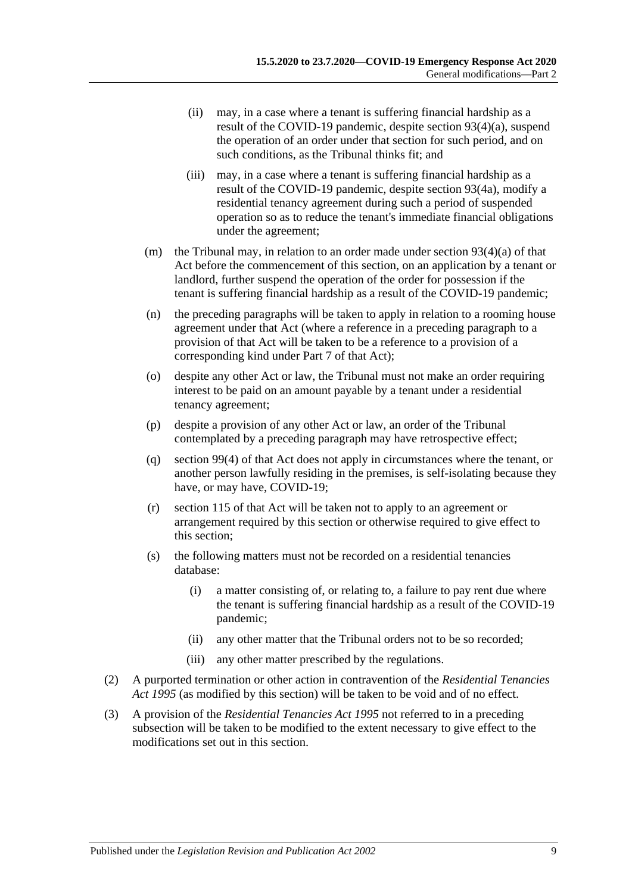- (ii) may, in a case where a tenant is suffering financial hardship as a result of the COVID-19 pandemic, despite section 93(4)(a), suspend the operation of an order under that section for such period, and on such conditions, as the Tribunal thinks fit; and
- (iii) may, in a case where a tenant is suffering financial hardship as a result of the COVID-19 pandemic, despite section 93(4a), modify a residential tenancy agreement during such a period of suspended operation so as to reduce the tenant's immediate financial obligations under the agreement;
- (m) the Tribunal may, in relation to an order made under section  $93(4)(a)$  of that Act before the commencement of this section, on an application by a tenant or landlord, further suspend the operation of the order for possession if the tenant is suffering financial hardship as a result of the COVID-19 pandemic;
- (n) the preceding paragraphs will be taken to apply in relation to a rooming house agreement under that Act (where a reference in a preceding paragraph to a provision of that Act will be taken to be a reference to a provision of a corresponding kind under Part 7 of that Act);
- (o) despite any other Act or law, the Tribunal must not make an order requiring interest to be paid on an amount payable by a tenant under a residential tenancy agreement;
- (p) despite a provision of any other Act or law, an order of the Tribunal contemplated by a preceding paragraph may have retrospective effect;
- (q) section 99(4) of that Act does not apply in circumstances where the tenant, or another person lawfully residing in the premises, is self-isolating because they have, or may have, COVID-19;
- (r) section 115 of that Act will be taken not to apply to an agreement or arrangement required by this section or otherwise required to give effect to this section;
- (s) the following matters must not be recorded on a residential tenancies database:
	- (i) a matter consisting of, or relating to, a failure to pay rent due where the tenant is suffering financial hardship as a result of the COVID-19 pandemic;
	- (ii) any other matter that the Tribunal orders not to be so recorded;
	- (iii) any other matter prescribed by the regulations.
- (2) A purported termination or other action in contravention of the *[Residential Tenancies](http://www.legislation.sa.gov.au/index.aspx?action=legref&type=act&legtitle=Residential%20Tenancies%20Act%201995)  Act [1995](http://www.legislation.sa.gov.au/index.aspx?action=legref&type=act&legtitle=Residential%20Tenancies%20Act%201995)* (as modified by this section) will be taken to be void and of no effect.
- (3) A provision of the *[Residential Tenancies Act](http://www.legislation.sa.gov.au/index.aspx?action=legref&type=act&legtitle=Residential%20Tenancies%20Act%201995) 1995* not referred to in a preceding subsection will be taken to be modified to the extent necessary to give effect to the modifications set out in this section.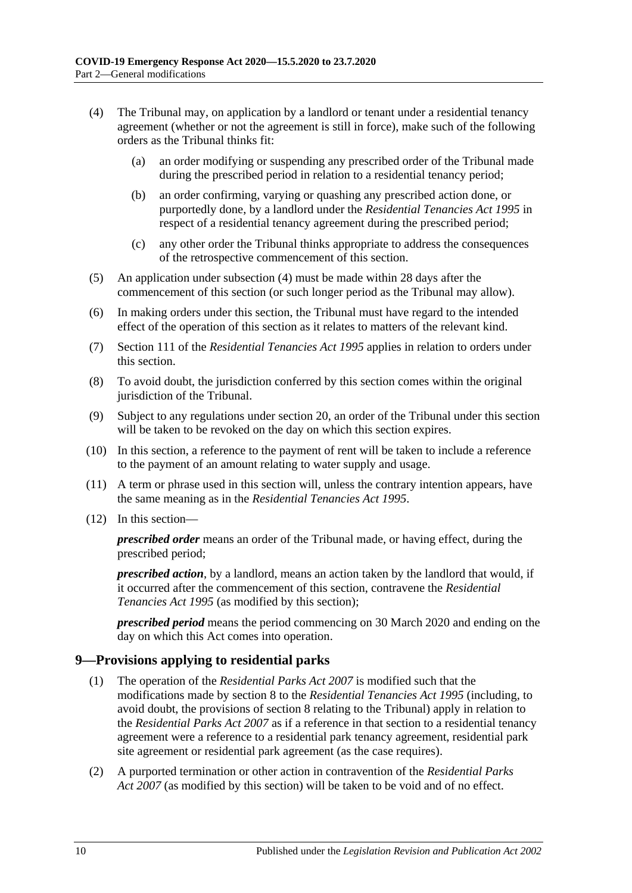- <span id="page-9-1"></span>(4) The Tribunal may, on application by a landlord or tenant under a residential tenancy agreement (whether or not the agreement is still in force), make such of the following orders as the Tribunal thinks fit:
	- (a) an order modifying or suspending any prescribed order of the Tribunal made during the prescribed period in relation to a residential tenancy period;
	- (b) an order confirming, varying or quashing any prescribed action done, or purportedly done, by a landlord under the *[Residential Tenancies Act](http://www.legislation.sa.gov.au/index.aspx?action=legref&type=act&legtitle=Residential%20Tenancies%20Act%201995) 1995* in respect of a residential tenancy agreement during the prescribed period;
	- (c) any other order the Tribunal thinks appropriate to address the consequences of the retrospective commencement of this section.
- (5) An application under [subsection](#page-9-1) (4) must be made within 28 days after the commencement of this section (or such longer period as the Tribunal may allow).
- (6) In making orders under this section, the Tribunal must have regard to the intended effect of the operation of this section as it relates to matters of the relevant kind.
- (7) Section 111 of the *[Residential Tenancies Act](http://www.legislation.sa.gov.au/index.aspx?action=legref&type=act&legtitle=Residential%20Tenancies%20Act%201995) 1995* applies in relation to orders under this section.
- (8) To avoid doubt, the jurisdiction conferred by this section comes within the original jurisdiction of the Tribunal.
- (9) Subject to any regulations under [section](#page-19-0) 20, an order of the Tribunal under this section will be taken to be revoked on the day on which this section expires.
- (10) In this section, a reference to the payment of rent will be taken to include a reference to the payment of an amount relating to water supply and usage.
- (11) A term or phrase used in this section will, unless the contrary intention appears, have the same meaning as in the *[Residential Tenancies Act](http://www.legislation.sa.gov.au/index.aspx?action=legref&type=act&legtitle=Residential%20Tenancies%20Act%201995) 1995*.
- (12) In this section—

*prescribed order* means an order of the Tribunal made, or having effect, during the prescribed period;

*prescribed action*, by a landlord, means an action taken by the landlord that would, if it occurred after the commencement of this section, contravene the *[Residential](http://www.legislation.sa.gov.au/index.aspx?action=legref&type=act&legtitle=Residential%20Tenancies%20Act%201995)  [Tenancies Act](http://www.legislation.sa.gov.au/index.aspx?action=legref&type=act&legtitle=Residential%20Tenancies%20Act%201995) 1995* (as modified by this section);

*prescribed period* means the period commencing on 30 March 2020 and ending on the day on which this Act comes into operation.

## <span id="page-9-0"></span>**9—Provisions applying to residential parks**

- (1) The operation of the *[Residential Parks Act](http://www.legislation.sa.gov.au/index.aspx?action=legref&type=act&legtitle=Residential%20Parks%20Act%202007) 2007* is modified such that the modifications made by [section](#page-6-0) 8 to the *[Residential Tenancies Act](http://www.legislation.sa.gov.au/index.aspx?action=legref&type=act&legtitle=Residential%20Tenancies%20Act%201995) 1995* (including, to avoid doubt, the provisions of [section](#page-6-0) 8 relating to the Tribunal) apply in relation to the *[Residential Parks Act](http://www.legislation.sa.gov.au/index.aspx?action=legref&type=act&legtitle=Residential%20Parks%20Act%202007) 2007* as if a reference in that section to a residential tenancy agreement were a reference to a residential park tenancy agreement, residential park site agreement or residential park agreement (as the case requires).
- (2) A purported termination or other action in contravention of the *[Residential Parks](http://www.legislation.sa.gov.au/index.aspx?action=legref&type=act&legtitle=Residential%20Parks%20Act%202007)  Act [2007](http://www.legislation.sa.gov.au/index.aspx?action=legref&type=act&legtitle=Residential%20Parks%20Act%202007)* (as modified by this section) will be taken to be void and of no effect.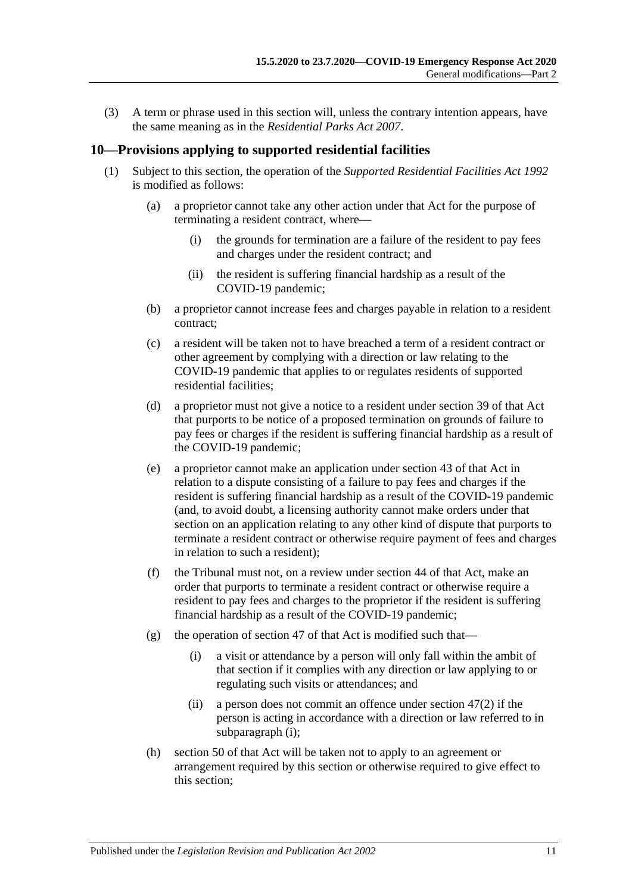(3) A term or phrase used in this section will, unless the contrary intention appears, have the same meaning as in the *[Residential Parks Act](http://www.legislation.sa.gov.au/index.aspx?action=legref&type=act&legtitle=Residential%20Parks%20Act%202007) 2007*.

#### <span id="page-10-0"></span>**10—Provisions applying to supported residential facilities**

- <span id="page-10-1"></span>(1) Subject to this section, the operation of the *[Supported Residential Facilities Act](http://www.legislation.sa.gov.au/index.aspx?action=legref&type=act&legtitle=Supported%20Residential%20Facilities%20Act%201992) 1992* is modified as follows:
	- (a) a proprietor cannot take any other action under that Act for the purpose of terminating a resident contract, where—
		- (i) the grounds for termination are a failure of the resident to pay fees and charges under the resident contract; and
		- (ii) the resident is suffering financial hardship as a result of the COVID-19 pandemic;
	- (b) a proprietor cannot increase fees and charges payable in relation to a resident contract;
	- (c) a resident will be taken not to have breached a term of a resident contract or other agreement by complying with a direction or law relating to the COVID-19 pandemic that applies to or regulates residents of supported residential facilities;
	- (d) a proprietor must not give a notice to a resident under section 39 of that Act that purports to be notice of a proposed termination on grounds of failure to pay fees or charges if the resident is suffering financial hardship as a result of the COVID-19 pandemic;
	- (e) a proprietor cannot make an application under section 43 of that Act in relation to a dispute consisting of a failure to pay fees and charges if the resident is suffering financial hardship as a result of the COVID-19 pandemic (and, to avoid doubt, a licensing authority cannot make orders under that section on an application relating to any other kind of dispute that purports to terminate a resident contract or otherwise require payment of fees and charges in relation to such a resident);
	- (f) the Tribunal must not, on a review under section 44 of that Act, make an order that purports to terminate a resident contract or otherwise require a resident to pay fees and charges to the proprietor if the resident is suffering financial hardship as a result of the COVID-19 pandemic;
	- (g) the operation of section 47 of that Act is modified such that—
		- (i) a visit or attendance by a person will only fall within the ambit of that section if it complies with any direction or law applying to or regulating such visits or attendances; and
		- (ii) a person does not commit an offence under section 47(2) if the person is acting in accordance with a direction or law referred to in [subparagraph](#page-10-1) (i);
	- (h) section 50 of that Act will be taken not to apply to an agreement or arrangement required by this section or otherwise required to give effect to this section;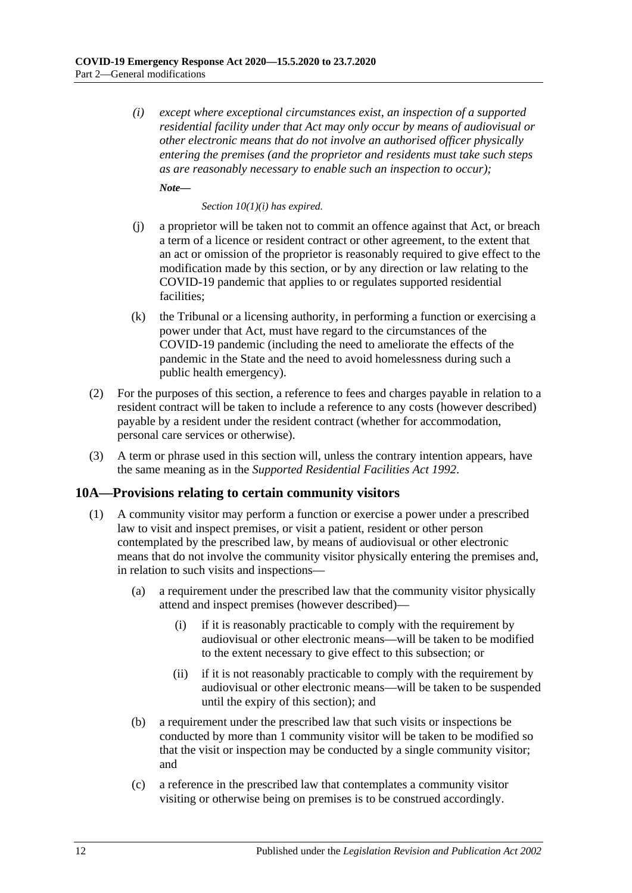*(i) except where exceptional circumstances exist, an inspection of a supported residential facility under that Act may only occur by means of audiovisual or other electronic means that do not involve an authorised officer physically entering the premises (and the proprietor and residents must take such steps as are reasonably necessary to enable such an inspection to occur);*

*Note***—**

*Section 10(1)(i) has expired.*

- (j) a proprietor will be taken not to commit an offence against that Act, or breach a term of a licence or resident contract or other agreement, to the extent that an act or omission of the proprietor is reasonably required to give effect to the modification made by this section, or by any direction or law relating to the COVID-19 pandemic that applies to or regulates supported residential facilities;
- (k) the Tribunal or a licensing authority, in performing a function or exercising a power under that Act, must have regard to the circumstances of the COVID-19 pandemic (including the need to ameliorate the effects of the pandemic in the State and the need to avoid homelessness during such a public health emergency).
- (2) For the purposes of this section, a reference to fees and charges payable in relation to a resident contract will be taken to include a reference to any costs (however described) payable by a resident under the resident contract (whether for accommodation, personal care services or otherwise).
- (3) A term or phrase used in this section will, unless the contrary intention appears, have the same meaning as in the *[Supported Residential Facilities Act](http://www.legislation.sa.gov.au/index.aspx?action=legref&type=act&legtitle=Supported%20Residential%20Facilities%20Act%201992) 1992*.

#### <span id="page-11-1"></span><span id="page-11-0"></span>**10A—Provisions relating to certain community visitors**

- (1) A community visitor may perform a function or exercise a power under a prescribed law to visit and inspect premises, or visit a patient, resident or other person contemplated by the prescribed law, by means of audiovisual or other electronic means that do not involve the community visitor physically entering the premises and, in relation to such visits and inspections—
	- (a) a requirement under the prescribed law that the community visitor physically attend and inspect premises (however described)—
		- (i) if it is reasonably practicable to comply with the requirement by audiovisual or other electronic means—will be taken to be modified to the extent necessary to give effect to this subsection; or
		- (ii) if it is not reasonably practicable to comply with the requirement by audiovisual or other electronic means—will be taken to be suspended until the expiry of this section); and
	- (b) a requirement under the prescribed law that such visits or inspections be conducted by more than 1 community visitor will be taken to be modified so that the visit or inspection may be conducted by a single community visitor; and
	- (c) a reference in the prescribed law that contemplates a community visitor visiting or otherwise being on premises is to be construed accordingly.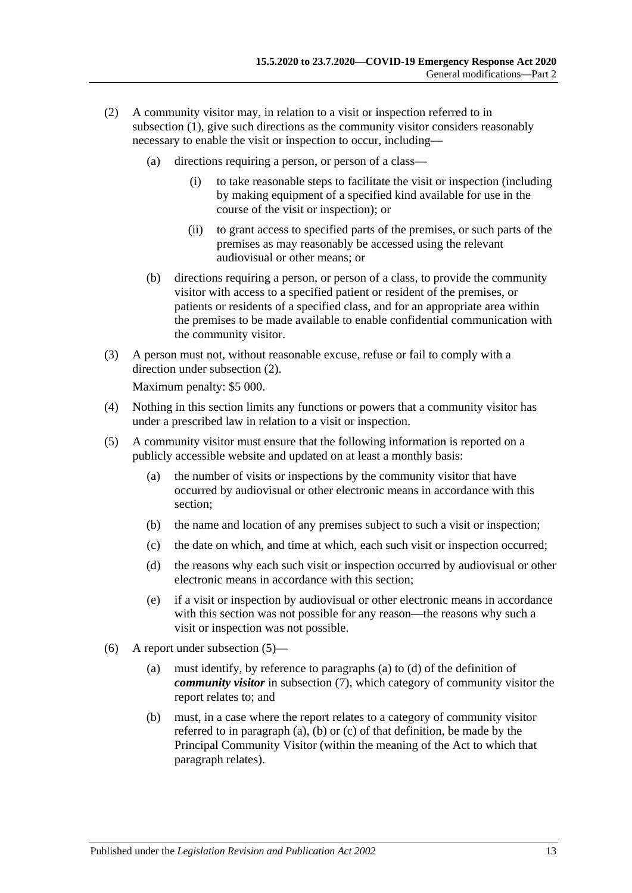- <span id="page-12-2"></span>(2) A community visitor may, in relation to a visit or inspection referred to in [subsection](#page-11-1) (1), give such directions as the community visitor considers reasonably necessary to enable the visit or inspection to occur, including—
	- (a) directions requiring a person, or person of a class—
		- (i) to take reasonable steps to facilitate the visit or inspection (including by making equipment of a specified kind available for use in the course of the visit or inspection); or
		- (ii) to grant access to specified parts of the premises, or such parts of the premises as may reasonably be accessed using the relevant audiovisual or other means; or
	- (b) directions requiring a person, or person of a class, to provide the community visitor with access to a specified patient or resident of the premises, or patients or residents of a specified class, and for an appropriate area within the premises to be made available to enable confidential communication with the community visitor.
- (3) A person must not, without reasonable excuse, refuse or fail to comply with a direction under [subsection](#page-12-2) (2).

Maximum penalty: \$5 000.

- (4) Nothing in this section limits any functions or powers that a community visitor has under a prescribed law in relation to a visit or inspection.
- <span id="page-12-0"></span>(5) A community visitor must ensure that the following information is reported on a publicly accessible website and updated on at least a monthly basis:
	- (a) the number of visits or inspections by the community visitor that have occurred by audiovisual or other electronic means in accordance with this section;
	- (b) the name and location of any premises subject to such a visit or inspection;
	- (c) the date on which, and time at which, each such visit or inspection occurred;
	- (d) the reasons why each such visit or inspection occurred by audiovisual or other electronic means in accordance with this section;
	- (e) if a visit or inspection by audiovisual or other electronic means in accordance with this section was not possible for any reason—the reasons why such a visit or inspection was not possible.
- <span id="page-12-1"></span>(6) A report under [subsection](#page-12-0) (5)—
	- (a) must identify, by reference to [paragraphs](#page-13-1) (a) to [\(d\)](#page-13-2) of the definition of *community visitor* in [subsection](#page-13-3) (7), which category of community visitor the report relates to; and
	- (b) must, in a case where the report relates to a category of community visitor referred to in [paragraph](#page-13-1) (a), [\(b\)](#page-13-4) or [\(c\)](#page-13-5) of that definition, be made by the Principal Community Visitor (within the meaning of the Act to which that paragraph relates).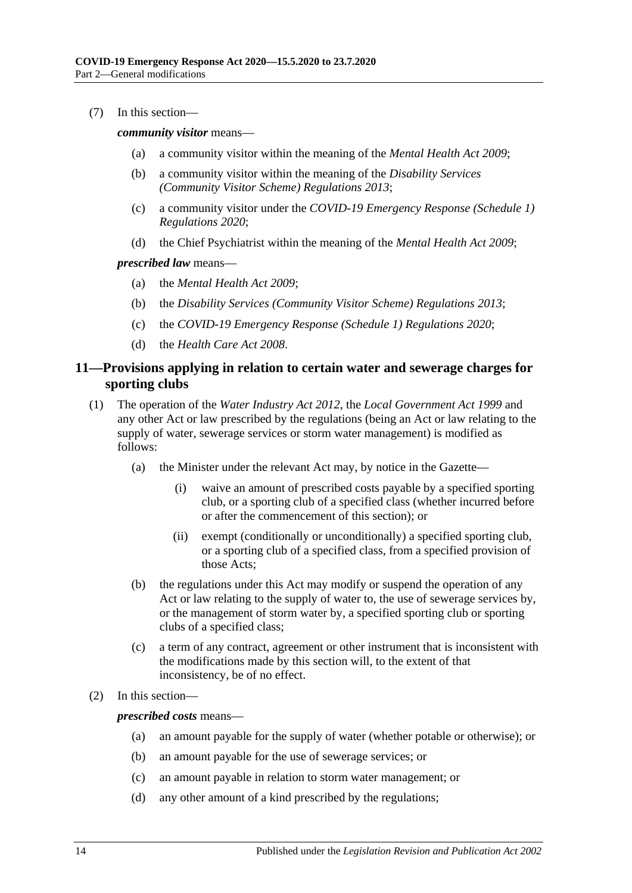<span id="page-13-3"></span><span id="page-13-1"></span>(7) In this section—

<span id="page-13-4"></span>*community visitor* means—

- (a) a community visitor within the meaning of the *[Mental Health Act](http://www.legislation.sa.gov.au/index.aspx?action=legref&type=act&legtitle=Mental%20Health%20Act%202009) 2009*;
- (b) a community visitor within the meaning of the *[Disability Services](http://www.legislation.sa.gov.au/index.aspx?action=legref&type=subordleg&legtitle=Disability%20Services%20(Community%20Visitor%20Scheme)%20Regulations%202013)  [\(Community Visitor Scheme\) Regulations](http://www.legislation.sa.gov.au/index.aspx?action=legref&type=subordleg&legtitle=Disability%20Services%20(Community%20Visitor%20Scheme)%20Regulations%202013) 2013*;
- <span id="page-13-5"></span>(c) a community visitor under the *[COVID-19 Emergency Response \(Schedule](http://www.legislation.sa.gov.au/index.aspx?action=legref&type=subordleg&legtitle=COVID-19%20Emergency%20Response%20(Schedule%201)%20Regulations%202020) 1) [Regulations](http://www.legislation.sa.gov.au/index.aspx?action=legref&type=subordleg&legtitle=COVID-19%20Emergency%20Response%20(Schedule%201)%20Regulations%202020) 2020*;
- (d) the Chief Psychiatrist within the meaning of the *[Mental Health Act](http://www.legislation.sa.gov.au/index.aspx?action=legref&type=act&legtitle=Mental%20Health%20Act%202009) 2009*;

<span id="page-13-2"></span>*prescribed law* means—

- (a) the *[Mental Health Act 2009](http://www.legislation.sa.gov.au/index.aspx?action=legref&type=act&legtitle=Mental%20Health%20Act%202009)*;
- (b) the *[Disability Services \(Community Visitor Scheme\) Regulations](http://www.legislation.sa.gov.au/index.aspx?action=legref&type=subordleg&legtitle=Disability%20Services%20(Community%20Visitor%20Scheme)%20Regulations%202013) 2013*;
- (c) the *[COVID-19 Emergency Response \(Schedule 1\) Regulations](http://www.legislation.sa.gov.au/index.aspx?action=legref&type=subordleg&legtitle=COVID-19%20Emergency%20Response%20(Schedule%201)%20Regulations%202020) 2020*;
- (d) the *[Health Care Act](http://www.legislation.sa.gov.au/index.aspx?action=legref&type=act&legtitle=Health%20Care%20Act%202008) 2008*.

#### <span id="page-13-0"></span>**11—Provisions applying in relation to certain water and sewerage charges for sporting clubs**

- (1) The operation of the *[Water Industry Act](http://www.legislation.sa.gov.au/index.aspx?action=legref&type=act&legtitle=Water%20Industry%20Act%202012) 2012*, the *[Local Government Act](http://www.legislation.sa.gov.au/index.aspx?action=legref&type=act&legtitle=Local%20Government%20Act%201999) 1999* and any other Act or law prescribed by the regulations (being an Act or law relating to the supply of water, sewerage services or storm water management) is modified as follows:
	- (a) the Minister under the relevant Act may, by notice in the Gazette—
		- (i) waive an amount of prescribed costs payable by a specified sporting club, or a sporting club of a specified class (whether incurred before or after the commencement of this section); or
		- (ii) exempt (conditionally or unconditionally) a specified sporting club, or a sporting club of a specified class, from a specified provision of those Acts;
	- (b) the regulations under this Act may modify or suspend the operation of any Act or law relating to the supply of water to, the use of sewerage services by, or the management of storm water by, a specified sporting club or sporting clubs of a specified class;
	- (c) a term of any contract, agreement or other instrument that is inconsistent with the modifications made by this section will, to the extent of that inconsistency, be of no effect.
- (2) In this section—

*prescribed costs* means—

- (a) an amount payable for the supply of water (whether potable or otherwise); or
- (b) an amount payable for the use of sewerage services; or
- (c) an amount payable in relation to storm water management; or
- (d) any other amount of a kind prescribed by the regulations;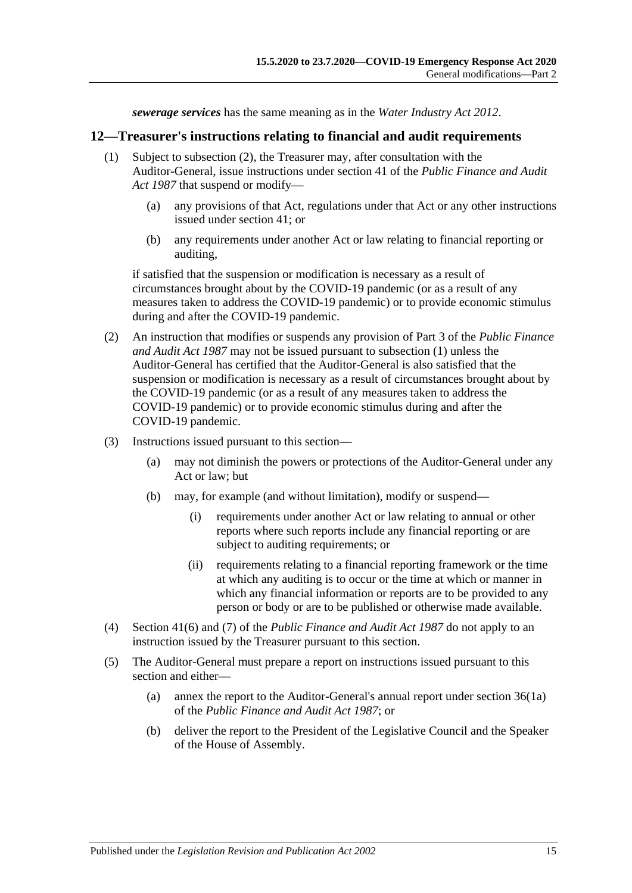*sewerage services* has the same meaning as in the *[Water Industry Act](http://www.legislation.sa.gov.au/index.aspx?action=legref&type=act&legtitle=Water%20Industry%20Act%202012) 2012*.

#### <span id="page-14-2"></span><span id="page-14-0"></span>**12—Treasurer's instructions relating to financial and audit requirements**

- (1) Subject to [subsection](#page-14-1) (2), the Treasurer may, after consultation with the Auditor-General, issue instructions under section 41 of the *[Public Finance and Audit](http://www.legislation.sa.gov.au/index.aspx?action=legref&type=act&legtitle=Public%20Finance%20and%20Audit%20Act%201987)  Act [1987](http://www.legislation.sa.gov.au/index.aspx?action=legref&type=act&legtitle=Public%20Finance%20and%20Audit%20Act%201987)* that suspend or modify—
	- (a) any provisions of that Act, regulations under that Act or any other instructions issued under section 41; or
	- (b) any requirements under another Act or law relating to financial reporting or auditing,

if satisfied that the suspension or modification is necessary as a result of circumstances brought about by the COVID-19 pandemic (or as a result of any measures taken to address the COVID-19 pandemic) or to provide economic stimulus during and after the COVID-19 pandemic.

- <span id="page-14-1"></span>(2) An instruction that modifies or suspends any provision of Part 3 of the *[Public Finance](http://www.legislation.sa.gov.au/index.aspx?action=legref&type=act&legtitle=Public%20Finance%20and%20Audit%20Act%201987)  [and Audit Act](http://www.legislation.sa.gov.au/index.aspx?action=legref&type=act&legtitle=Public%20Finance%20and%20Audit%20Act%201987) 1987* may not be issued pursuant to [subsection](#page-14-2) (1) unless the Auditor-General has certified that the Auditor-General is also satisfied that the suspension or modification is necessary as a result of circumstances brought about by the COVID-19 pandemic (or as a result of any measures taken to address the COVID-19 pandemic) or to provide economic stimulus during and after the COVID-19 pandemic.
- (3) Instructions issued pursuant to this section—
	- (a) may not diminish the powers or protections of the Auditor-General under any Act or law; but
	- (b) may, for example (and without limitation), modify or suspend—
		- (i) requirements under another Act or law relating to annual or other reports where such reports include any financial reporting or are subject to auditing requirements; or
		- (ii) requirements relating to a financial reporting framework or the time at which any auditing is to occur or the time at which or manner in which any financial information or reports are to be provided to any person or body or are to be published or otherwise made available.
- (4) Section 41(6) and (7) of the *[Public Finance and Audit Act](http://www.legislation.sa.gov.au/index.aspx?action=legref&type=act&legtitle=Public%20Finance%20and%20Audit%20Act%201987) 1987* do not apply to an instruction issued by the Treasurer pursuant to this section.
- (5) The Auditor-General must prepare a report on instructions issued pursuant to this section and either—
	- (a) annex the report to the Auditor-General's annual report under section 36(1a) of the *[Public Finance](http://www.legislation.sa.gov.au/index.aspx?action=legref&type=act&legtitle=Public%20Finance%20and%20Audit%20Act%201987) and Audit Act 1987*; or
	- (b) deliver the report to the President of the Legislative Council and the Speaker of the House of Assembly.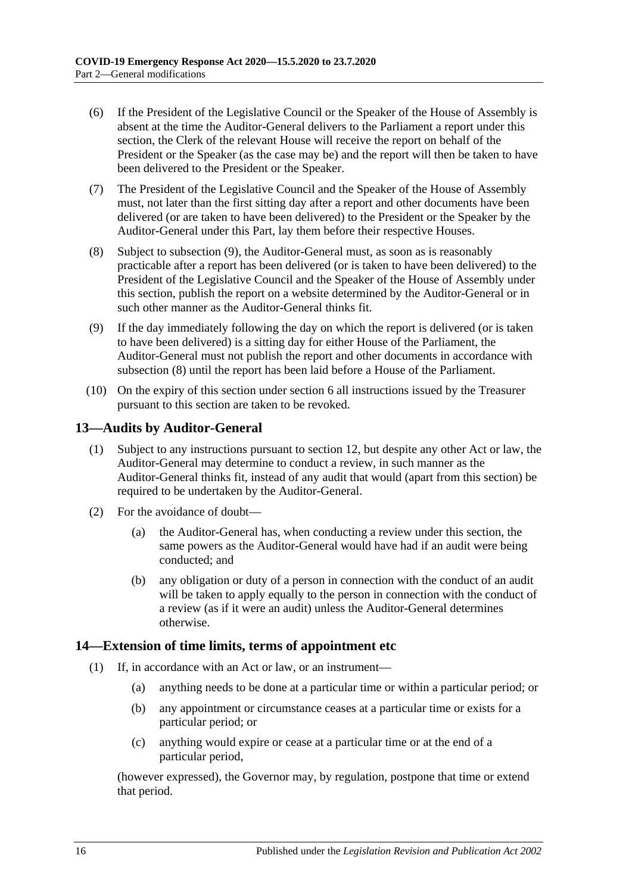- (6) If the President of the Legislative Council or the Speaker of the House of Assembly is absent at the time the Auditor-General delivers to the Parliament a report under this section, the Clerk of the relevant House will receive the report on behalf of the President or the Speaker (as the case may be) and the report will then be taken to have been delivered to the President or the Speaker.
- (7) The President of the Legislative Council and the Speaker of the House of Assembly must, not later than the first sitting day after a report and other documents have been delivered (or are taken to have been delivered) to the President or the Speaker by the Auditor-General under this Part, lay them before their respective Houses.
- <span id="page-15-3"></span>(8) Subject to [subsection](#page-15-2) (9), the Auditor-General must, as soon as is reasonably practicable after a report has been delivered (or is taken to have been delivered) to the President of the Legislative Council and the Speaker of the House of Assembly under this section, publish the report on a website determined by the Auditor-General or in such other manner as the Auditor-General thinks fit.
- <span id="page-15-2"></span>(9) If the day immediately following the day on which the report is delivered (or is taken to have been delivered) is a sitting day for either House of the Parliament, the Auditor-General must not publish the report and other documents in accordance with [subsection](#page-15-3) (8) until the report has been laid before a House of the Parliament.
- (10) On the expiry of this section under [section](#page-2-6) 6 all instructions issued by the Treasurer pursuant to this section are taken to be revoked.

#### <span id="page-15-0"></span>**13—Audits by Auditor-General**

- (1) Subject to any instructions pursuant to [section](#page-14-0) 12, but despite any other Act or law, the Auditor-General may determine to conduct a review, in such manner as the Auditor-General thinks fit, instead of any audit that would (apart from this section) be required to be undertaken by the Auditor-General.
- (2) For the avoidance of doubt—
	- (a) the Auditor-General has, when conducting a review under this section, the same powers as the Auditor-General would have had if an audit were being conducted; and
	- (b) any obligation or duty of a person in connection with the conduct of an audit will be taken to apply equally to the person in connection with the conduct of a review (as if it were an audit) unless the Auditor-General determines otherwise.

#### <span id="page-15-4"></span><span id="page-15-1"></span>**14—Extension of time limits, terms of appointment etc**

- (1) If, in accordance with an Act or law, or an instrument—
	- (a) anything needs to be done at a particular time or within a particular period; or
	- (b) any appointment or circumstance ceases at a particular time or exists for a particular period; or
	- (c) anything would expire or cease at a particular time or at the end of a particular period,

(however expressed), the Governor may, by regulation, postpone that time or extend that period.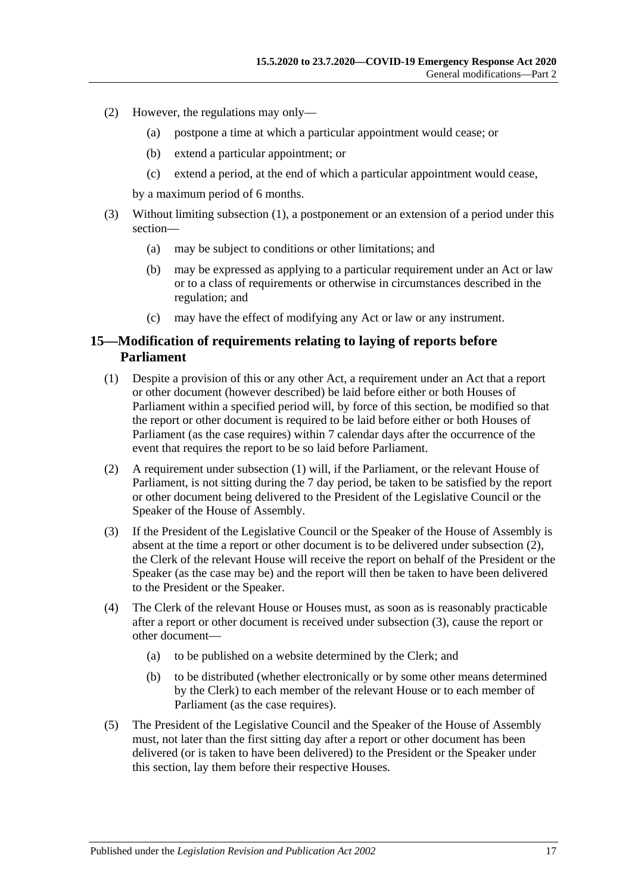- (2) However, the regulations may only—
	- (a) postpone a time at which a particular appointment would cease; or
	- (b) extend a particular appointment; or
	- (c) extend a period, at the end of which a particular appointment would cease,

by a maximum period of 6 months.

- (3) Without limiting [subsection](#page-15-4) (1), a postponement or an extension of a period under this section—
	- (a) may be subject to conditions or other limitations; and
	- (b) may be expressed as applying to a particular requirement under an Act or law or to a class of requirements or otherwise in circumstances described in the regulation; and
	- (c) may have the effect of modifying any Act or law or any instrument.

#### <span id="page-16-0"></span>**15—Modification of requirements relating to laying of reports before Parliament**

- <span id="page-16-1"></span>(1) Despite a provision of this or any other Act, a requirement under an Act that a report or other document (however described) be laid before either or both Houses of Parliament within a specified period will, by force of this section, be modified so that the report or other document is required to be laid before either or both Houses of Parliament (as the case requires) within 7 calendar days after the occurrence of the event that requires the report to be so laid before Parliament.
- <span id="page-16-2"></span>(2) A requirement under [subsection](#page-16-1) (1) will, if the Parliament, or the relevant House of Parliament, is not sitting during the 7 day period, be taken to be satisfied by the report or other document being delivered to the President of the Legislative Council or the Speaker of the House of Assembly.
- <span id="page-16-3"></span>(3) If the President of the Legislative Council or the Speaker of the House of Assembly is absent at the time a report or other document is to be delivered under [subsection](#page-16-2) (2), the Clerk of the relevant House will receive the report on behalf of the President or the Speaker (as the case may be) and the report will then be taken to have been delivered to the President or the Speaker.
- (4) The Clerk of the relevant House or Houses must, as soon as is reasonably practicable after a report or other document is received under [subsection](#page-16-3) (3), cause the report or other document—
	- (a) to be published on a website determined by the Clerk; and
	- (b) to be distributed (whether electronically or by some other means determined by the Clerk) to each member of the relevant House or to each member of Parliament (as the case requires).
- (5) The President of the Legislative Council and the Speaker of the House of Assembly must, not later than the first sitting day after a report or other document has been delivered (or is taken to have been delivered) to the President or the Speaker under this section, lay them before their respective Houses.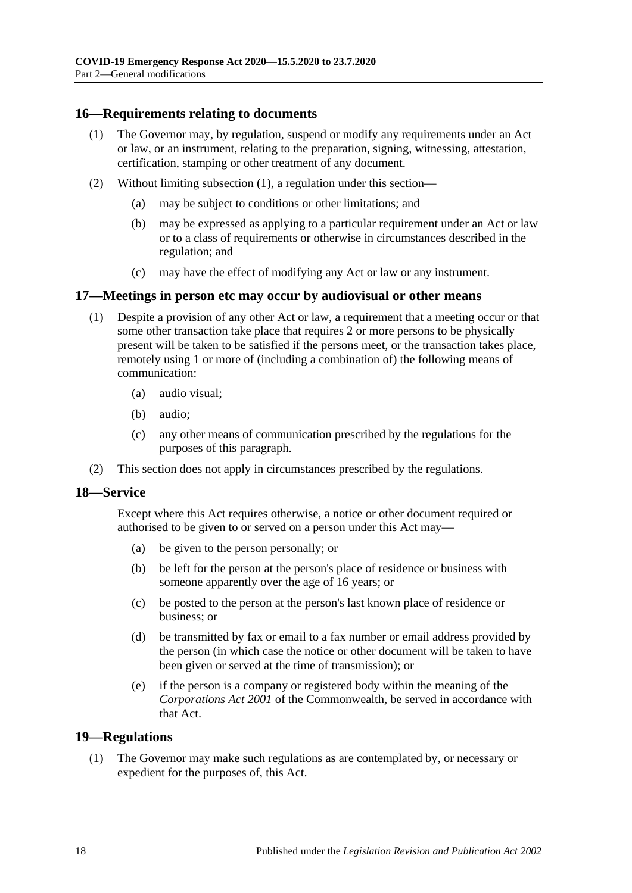#### <span id="page-17-4"></span><span id="page-17-0"></span>**16—Requirements relating to documents**

- (1) The Governor may, by regulation, suspend or modify any requirements under an Act or law, or an instrument, relating to the preparation, signing, witnessing, attestation, certification, stamping or other treatment of any document.
- (2) Without limiting [subsection](#page-17-4) (1), a regulation under this section—
	- (a) may be subject to conditions or other limitations; and
	- (b) may be expressed as applying to a particular requirement under an Act or law or to a class of requirements or otherwise in circumstances described in the regulation; and
	- (c) may have the effect of modifying any Act or law or any instrument.

#### <span id="page-17-1"></span>**17—Meetings in person etc may occur by audiovisual or other means**

- (1) Despite a provision of any other Act or law, a requirement that a meeting occur or that some other transaction take place that requires 2 or more persons to be physically present will be taken to be satisfied if the persons meet, or the transaction takes place, remotely using 1 or more of (including a combination of) the following means of communication:
	- (a) audio visual;
	- (b) audio;
	- (c) any other means of communication prescribed by the regulations for the purposes of this paragraph.
- (2) This section does not apply in circumstances prescribed by the regulations.

#### <span id="page-17-2"></span>**18—Service**

Except where this Act requires otherwise, a notice or other document required or authorised to be given to or served on a person under this Act may—

- (a) be given to the person personally; or
- (b) be left for the person at the person's place of residence or business with someone apparently over the age of 16 years; or
- (c) be posted to the person at the person's last known place of residence or business; or
- (d) be transmitted by fax or email to a fax number or email address provided by the person (in which case the notice or other document will be taken to have been given or served at the time of transmission); or
- (e) if the person is a company or registered body within the meaning of the *Corporations Act 2001* of the Commonwealth, be served in accordance with that Act.

#### <span id="page-17-5"></span><span id="page-17-3"></span>**19—Regulations**

(1) The Governor may make such regulations as are contemplated by, or necessary or expedient for the purposes of, this Act.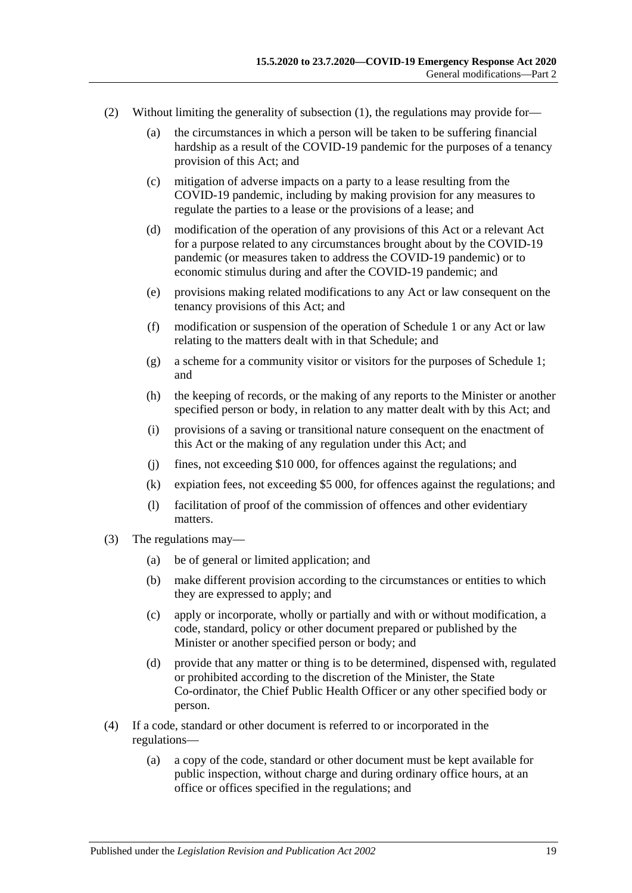- (2) Without limiting the generality of [subsection](#page-17-5) (1), the regulations may provide for—
	- (a) the circumstances in which a person will be taken to be suffering financial hardship as a result of the COVID-19 pandemic for the purposes of a tenancy provision of this Act; and
	- (c) mitigation of adverse impacts on a party to a lease resulting from the COVID-19 pandemic, including by making provision for any measures to regulate the parties to a lease or the provisions of a lease; and
	- (d) modification of the operation of any provisions of this Act or a relevant Act for a purpose related to any circumstances brought about by the COVID-19 pandemic (or measures taken to address the COVID-19 pandemic) or to economic stimulus during and after the COVID-19 pandemic; and
	- (e) provisions making related modifications to any Act or law consequent on the tenancy provisions of this Act; and
	- (f) modification or suspension of the operation of [Schedule](#page-20-3) 1 or any Act or law relating to the matters dealt with in that Schedule; and
	- (g) a scheme for a community visitor or visitors for the purposes of [Schedule](#page-20-3) 1; and
	- (h) the keeping of records, or the making of any reports to the Minister or another specified person or body, in relation to any matter dealt with by this Act; and
	- (i) provisions of a saving or transitional nature consequent on the enactment of this Act or the making of any regulation under this Act; and
	- (j) fines, not exceeding \$10 000, for offences against the regulations; and
	- (k) expiation fees, not exceeding \$5 000, for offences against the regulations; and
	- (l) facilitation of proof of the commission of offences and other evidentiary matters.
- (3) The regulations may—
	- (a) be of general or limited application; and
	- (b) make different provision according to the circumstances or entities to which they are expressed to apply; and
	- (c) apply or incorporate, wholly or partially and with or without modification, a code, standard, policy or other document prepared or published by the Minister or another specified person or body; and
	- (d) provide that any matter or thing is to be determined, dispensed with, regulated or prohibited according to the discretion of the Minister, the State Co-ordinator, the Chief Public Health Officer or any other specified body or person.
- (4) If a code, standard or other document is referred to or incorporated in the regulations—
	- (a) a copy of the code, standard or other document must be kept available for public inspection, without charge and during ordinary office hours, at an office or offices specified in the regulations; and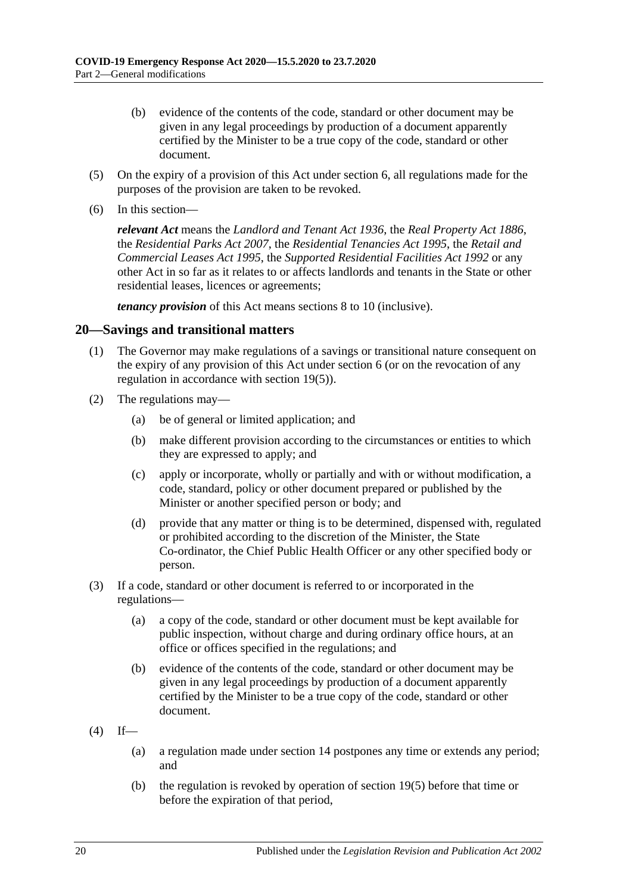- (b) evidence of the contents of the code, standard or other document may be given in any legal proceedings by production of a document apparently certified by the Minister to be a true copy of the code, standard or other document.
- <span id="page-19-1"></span>(5) On the expiry of a provision of this Act under [section](#page-2-6) 6, all regulations made for the purposes of the provision are taken to be revoked.
- (6) In this section—

*relevant Act* means the *[Landlord and Tenant Act](http://www.legislation.sa.gov.au/index.aspx?action=legref&type=act&legtitle=Landlord%20and%20Tenant%20Act%201936) 1936*, the *[Real Property Act](http://www.legislation.sa.gov.au/index.aspx?action=legref&type=act&legtitle=Real%20Property%20Act%201886) 1886*, the *[Residential Parks Act](http://www.legislation.sa.gov.au/index.aspx?action=legref&type=act&legtitle=Residential%20Parks%20Act%202007) 2007*, the *[Residential Tenancies Act](http://www.legislation.sa.gov.au/index.aspx?action=legref&type=act&legtitle=Residential%20Tenancies%20Act%201995) 1995*, the *[Retail and](http://www.legislation.sa.gov.au/index.aspx?action=legref&type=act&legtitle=Retail%20and%20Commercial%20Leases%20Act%201995)  [Commercial Leases Act](http://www.legislation.sa.gov.au/index.aspx?action=legref&type=act&legtitle=Retail%20and%20Commercial%20Leases%20Act%201995) 1995*, the *[Supported Residential Facilities Act](http://www.legislation.sa.gov.au/index.aspx?action=legref&type=act&legtitle=Supported%20Residential%20Facilities%20Act%201992) 1992* or any other Act in so far as it relates to or affects landlords and tenants in the State or other residential leases, licences or agreements;

*tenancy provision* of this Act means sections 8 to [10](#page-10-0) (inclusive).

#### <span id="page-19-0"></span>**20—Savings and transitional matters**

- (1) The Governor may make regulations of a savings or transitional nature consequent on the expiry of any provision of this Act under [section](#page-2-6) 6 (or on the revocation of any regulation in accordance with [section](#page-19-1) 19(5)).
- (2) The regulations may—
	- (a) be of general or limited application; and
	- (b) make different provision according to the circumstances or entities to which they are expressed to apply; and
	- (c) apply or incorporate, wholly or partially and with or without modification, a code, standard, policy or other document prepared or published by the Minister or another specified person or body; and
	- (d) provide that any matter or thing is to be determined, dispensed with, regulated or prohibited according to the discretion of the Minister, the State Co-ordinator, the Chief Public Health Officer or any other specified body or person.
- (3) If a code, standard or other document is referred to or incorporated in the regulations—
	- (a) a copy of the code, standard or other document must be kept available for public inspection, without charge and during ordinary office hours, at an office or offices specified in the regulations; and
	- (b) evidence of the contents of the code, standard or other document may be given in any legal proceedings by production of a document apparently certified by the Minister to be a true copy of the code, standard or other document.

 $(4)$  If—

- (a) a regulation made under [section](#page-15-1) 14 postpones any time or extends any period; and
- (b) the regulation is revoked by operation of [section](#page-19-1) 19(5) before that time or before the expiration of that period,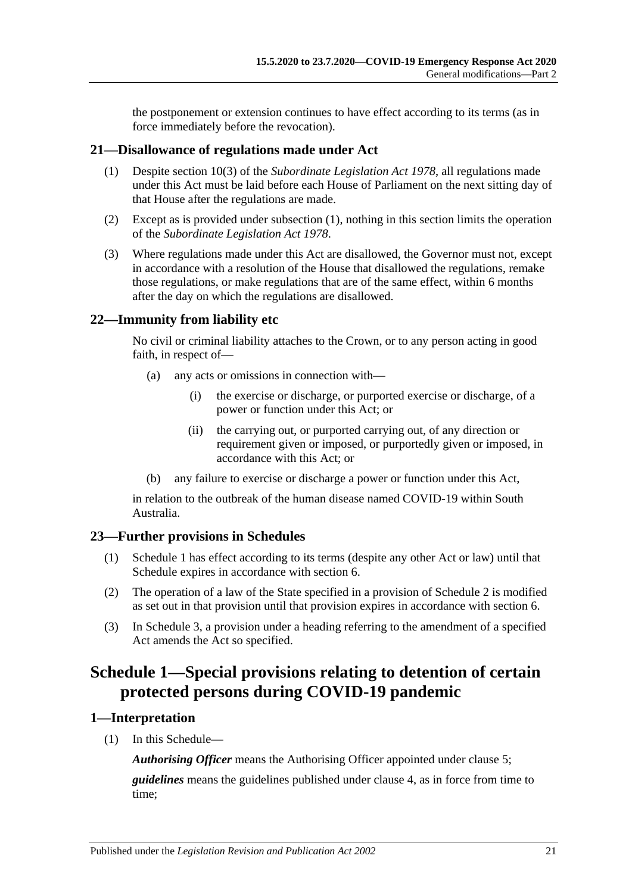the postponement or extension continues to have effect according to its terms (as in force immediately before the revocation).

#### <span id="page-20-5"></span><span id="page-20-0"></span>**21—Disallowance of regulations made under Act**

- (1) Despite section 10(3) of the *[Subordinate Legislation Act](http://www.legislation.sa.gov.au/index.aspx?action=legref&type=act&legtitle=Subordinate%20Legislation%20Act%201978) 1978*, all regulations made under this Act must be laid before each House of Parliament on the next sitting day of that House after the regulations are made.
- (2) Except as is provided under [subsection](#page-20-5) (1), nothing in this section limits the operation of the *[Subordinate Legislation Act](http://www.legislation.sa.gov.au/index.aspx?action=legref&type=act&legtitle=Subordinate%20Legislation%20Act%201978) 1978*.
- (3) Where regulations made under this Act are disallowed, the Governor must not, except in accordance with a resolution of the House that disallowed the regulations, remake those regulations, or make regulations that are of the same effect, within 6 months after the day on which the regulations are disallowed.

#### <span id="page-20-1"></span>**22—Immunity from liability etc**

No civil or criminal liability attaches to the Crown, or to any person acting in good faith, in respect of—

- (a) any acts or omissions in connection with—
	- (i) the exercise or discharge, or purported exercise or discharge, of a power or function under this Act; or
	- (ii) the carrying out, or purported carrying out, of any direction or requirement given or imposed, or purportedly given or imposed, in accordance with this Act; or
- (b) any failure to exercise or discharge a power or function under this Act,

in relation to the outbreak of the human disease named COVID-19 within South Australia.

## <span id="page-20-2"></span>**23—Further provisions in Schedules**

- (1) [Schedule](#page-20-3) 1 has effect according to its terms (despite any other Act or law) until that Schedule expires in accordance with [section](#page-2-6) 6.
- (2) The operation of a law of the State specified in a provision of [Schedule](#page-29-0) 2 is modified as set out in that provision until that provision expires in accordance with [section](#page-2-6) 6.
- (3) In Schedule 3, a provision under a heading referring to the amendment of a specified Act amends the Act so specified.

## <span id="page-20-3"></span>**Schedule 1—Special provisions relating to detention of certain protected persons during COVID-19 pandemic**

## <span id="page-20-4"></span>**1—Interpretation**

(1) In this Schedule—

*Authorising Officer* means the Authorising Officer appointed under [clause](#page-22-2) 5;

*guidelines* means the guidelines published under [clause](#page-22-1) 4, as in force from time to time;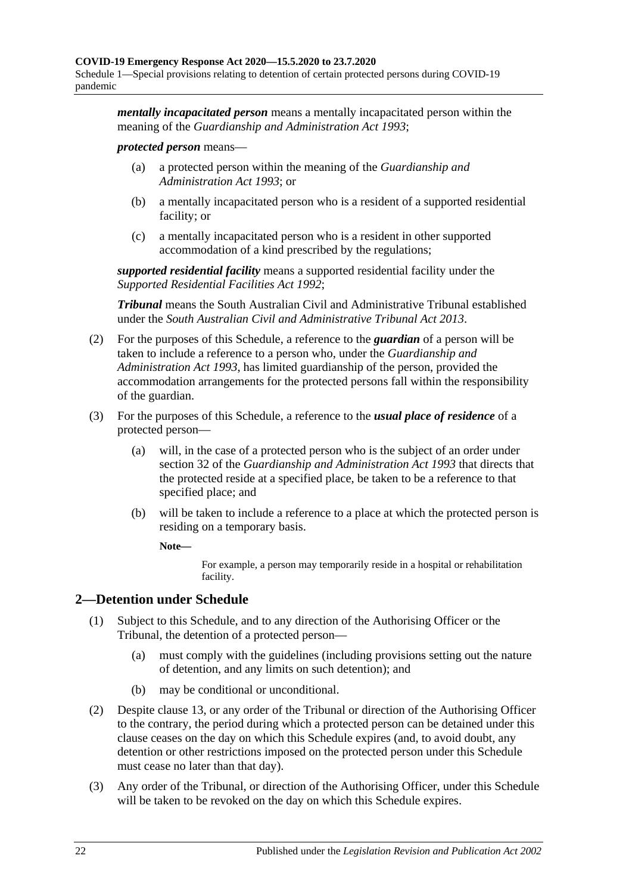*mentally incapacitated person* means a mentally incapacitated person within the meaning of the *[Guardianship and Administration Act](http://www.legislation.sa.gov.au/index.aspx?action=legref&type=act&legtitle=Guardianship%20and%20Administration%20Act%201993) 1993*;

#### *protected person* means—

- (a) a protected person within the meaning of the *[Guardianship and](http://www.legislation.sa.gov.au/index.aspx?action=legref&type=act&legtitle=Guardianship%20and%20Administration%20Act%201993)  [Administration Act](http://www.legislation.sa.gov.au/index.aspx?action=legref&type=act&legtitle=Guardianship%20and%20Administration%20Act%201993) 1993*; or
- (b) a mentally incapacitated person who is a resident of a supported residential facility; or
- (c) a mentally incapacitated person who is a resident in other supported accommodation of a kind prescribed by the regulations;

*supported residential facility* means a supported residential facility under the *[Supported Residential Facilities](http://www.legislation.sa.gov.au/index.aspx?action=legref&type=act&legtitle=Supported%20Residential%20Facilities%20Act%201992) Act 1992*;

*Tribunal* means the South Australian Civil and Administrative Tribunal established under the *[South Australian Civil and Administrative Tribunal Act](http://www.legislation.sa.gov.au/index.aspx?action=legref&type=act&legtitle=South%20Australian%20Civil%20and%20Administrative%20Tribunal%20Act%202013) 2013*.

- (2) For the purposes of this Schedule, a reference to the *guardian* of a person will be taken to include a reference to a person who, under the *[Guardianship and](http://www.legislation.sa.gov.au/index.aspx?action=legref&type=act&legtitle=Guardianship%20and%20Administration%20Act%201993)  [Administration Act](http://www.legislation.sa.gov.au/index.aspx?action=legref&type=act&legtitle=Guardianship%20and%20Administration%20Act%201993) 1993*, has limited guardianship of the person, provided the accommodation arrangements for the protected persons fall within the responsibility of the guardian.
- (3) For the purposes of this Schedule, a reference to the *usual place of residence* of a protected person—
	- (a) will, in the case of a protected person who is the subject of an order under section 32 of the *[Guardianship and Administration Act](http://www.legislation.sa.gov.au/index.aspx?action=legref&type=act&legtitle=Guardianship%20and%20Administration%20Act%201993) 1993* that directs that the protected reside at a specified place, be taken to be a reference to that specified place; and
	- (b) will be taken to include a reference to a place at which the protected person is residing on a temporary basis.

**Note—**

For example, a person may temporarily reside in a hospital or rehabilitation facility.

## <span id="page-21-0"></span>**2—Detention under Schedule**

- (1) Subject to this Schedule, and to any direction of the Authorising Officer or the Tribunal, the detention of a protected person—
	- (a) must comply with the guidelines (including provisions setting out the nature of detention, and any limits on such detention); and
	- (b) may be conditional or unconditional.
- (2) Despite [clause](#page-26-1) 13, or any order of the Tribunal or direction of the Authorising Officer to the contrary, the period during which a protected person can be detained under this clause ceases on the day on which this Schedule expires (and, to avoid doubt, any detention or other restrictions imposed on the protected person under this Schedule must cease no later than that day).
- (3) Any order of the Tribunal, or direction of the Authorising Officer, under this Schedule will be taken to be revoked on the day on which this Schedule expires.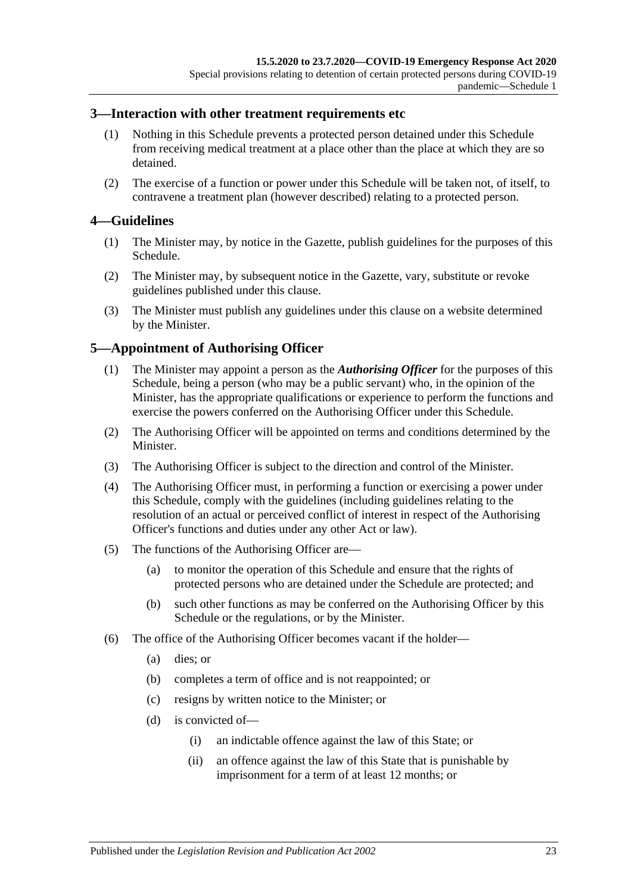#### <span id="page-22-0"></span>**3—Interaction with other treatment requirements etc**

- (1) Nothing in this Schedule prevents a protected person detained under this Schedule from receiving medical treatment at a place other than the place at which they are so detained.
- (2) The exercise of a function or power under this Schedule will be taken not, of itself, to contravene a treatment plan (however described) relating to a protected person.

#### <span id="page-22-1"></span>**4—Guidelines**

- (1) The Minister may, by notice in the Gazette, publish guidelines for the purposes of this Schedule.
- (2) The Minister may, by subsequent notice in the Gazette, vary, substitute or revoke guidelines published under this clause.
- (3) The Minister must publish any guidelines under this clause on a website determined by the Minister.

#### <span id="page-22-2"></span>**5—Appointment of Authorising Officer**

- (1) The Minister may appoint a person as the *Authorising Officer* for the purposes of this Schedule, being a person (who may be a public servant) who, in the opinion of the Minister, has the appropriate qualifications or experience to perform the functions and exercise the powers conferred on the Authorising Officer under this Schedule.
- (2) The Authorising Officer will be appointed on terms and conditions determined by the Minister.
- (3) The Authorising Officer is subject to the direction and control of the Minister.
- (4) The Authorising Officer must, in performing a function or exercising a power under this Schedule, comply with the guidelines (including guidelines relating to the resolution of an actual or perceived conflict of interest in respect of the Authorising Officer's functions and duties under any other Act or law).
- (5) The functions of the Authorising Officer are—
	- (a) to monitor the operation of this Schedule and ensure that the rights of protected persons who are detained under the Schedule are protected; and
	- (b) such other functions as may be conferred on the Authorising Officer by this Schedule or the regulations, or by the Minister.
- (6) The office of the Authorising Officer becomes vacant if the holder—
	- (a) dies; or
	- (b) completes a term of office and is not reappointed; or
	- (c) resigns by written notice to the Minister; or
	- (d) is convicted of—
		- (i) an indictable offence against the law of this State; or
		- (ii) an offence against the law of this State that is punishable by imprisonment for a term of at least 12 months; or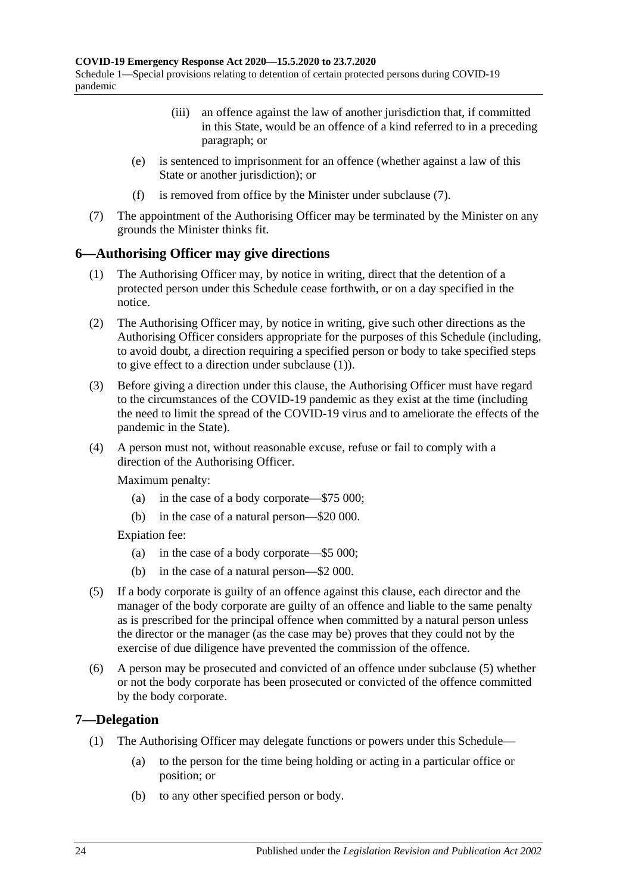- (iii) an offence against the law of another jurisdiction that, if committed in this State, would be an offence of a kind referred to in a preceding paragraph; or
- (e) is sentenced to imprisonment for an offence (whether against a law of this State or another jurisdiction); or
- (f) is removed from office by the Minister under [subclause](#page-23-2) (7).
- <span id="page-23-2"></span>(7) The appointment of the Authorising Officer may be terminated by the Minister on any grounds the Minister thinks fit.

#### <span id="page-23-3"></span><span id="page-23-0"></span>**6—Authorising Officer may give directions**

- (1) The Authorising Officer may, by notice in writing, direct that the detention of a protected person under this Schedule cease forthwith, or on a day specified in the notice.
- (2) The Authorising Officer may, by notice in writing, give such other directions as the Authorising Officer considers appropriate for the purposes of this Schedule (including, to avoid doubt, a direction requiring a specified person or body to take specified steps to give effect to a direction under [subclause](#page-23-3) (1)).
- (3) Before giving a direction under this clause, the Authorising Officer must have regard to the circumstances of the COVID-19 pandemic as they exist at the time (including the need to limit the spread of the COVID-19 virus and to ameliorate the effects of the pandemic in the State).
- (4) A person must not, without reasonable excuse, refuse or fail to comply with a direction of the Authorising Officer.

Maximum penalty:

- (a) in the case of a body corporate—\$75 000;
- (b) in the case of a natural person—\$20 000.

Expiation fee:

- (a) in the case of a body corporate—\$5 000;
- (b) in the case of a natural person—\$2 000.
- <span id="page-23-4"></span>(5) If a body corporate is guilty of an offence against this clause, each director and the manager of the body corporate are guilty of an offence and liable to the same penalty as is prescribed for the principal offence when committed by a natural person unless the director or the manager (as the case may be) proves that they could not by the exercise of due diligence have prevented the commission of the offence.
- (6) A person may be prosecuted and convicted of an offence under [subclause](#page-23-4) (5) whether or not the body corporate has been prosecuted or convicted of the offence committed by the body corporate.

#### <span id="page-23-1"></span>**7—Delegation**

- (1) The Authorising Officer may delegate functions or powers under this Schedule—
	- (a) to the person for the time being holding or acting in a particular office or position; or
	- (b) to any other specified person or body.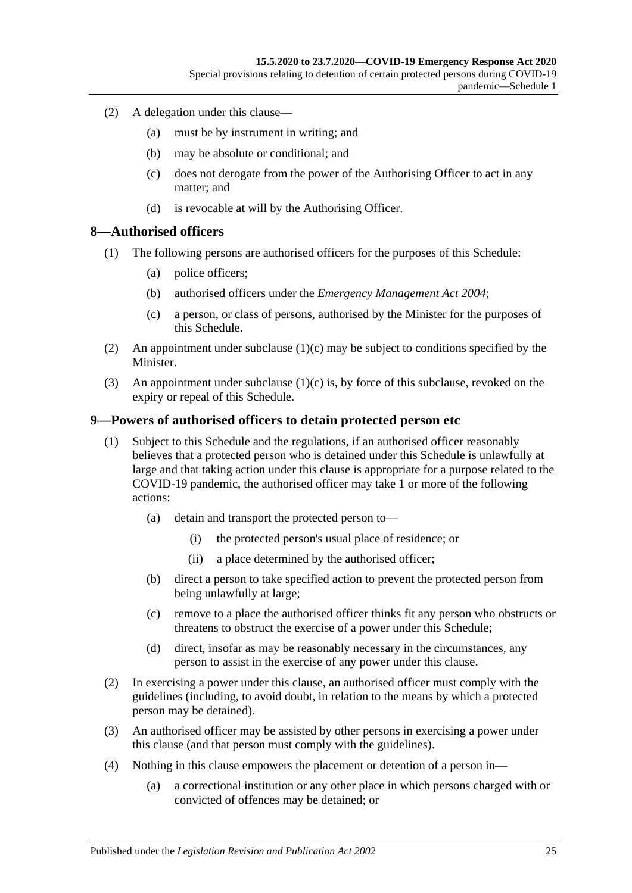- (2) A delegation under this clause—
	- (a) must be by instrument in writing; and
	- (b) may be absolute or conditional; and
	- (c) does not derogate from the power of the Authorising Officer to act in any matter; and
	- (d) is revocable at will by the Authorising Officer.

#### <span id="page-24-0"></span>**8—Authorised officers**

- (1) The following persons are authorised officers for the purposes of this Schedule:
	- (a) police officers;
	- (b) authorised officers under the *[Emergency Management Act](http://www.legislation.sa.gov.au/index.aspx?action=legref&type=act&legtitle=Emergency%20Management%20Act%202004) 2004*;
	- (c) a person, or class of persons, authorised by the Minister for the purposes of this Schedule.
- <span id="page-24-2"></span>(2) An appointment under [subclause](#page-24-2)  $(1)(c)$  may be subject to conditions specified by the Minister.
- (3) An appointment under [subclause](#page-24-2) (1)(c) is, by force of this subclause, revoked on the expiry or repeal of this Schedule.

#### <span id="page-24-1"></span>**9—Powers of authorised officers to detain protected person etc**

- (1) Subject to this Schedule and the regulations, if an authorised officer reasonably believes that a protected person who is detained under this Schedule is unlawfully at large and that taking action under this clause is appropriate for a purpose related to the COVID-19 pandemic, the authorised officer may take 1 or more of the following actions:
	- (a) detain and transport the protected person to—
		- (i) the protected person's usual place of residence; or
		- (ii) a place determined by the authorised officer;
	- (b) direct a person to take specified action to prevent the protected person from being unlawfully at large;
	- (c) remove to a place the authorised officer thinks fit any person who obstructs or threatens to obstruct the exercise of a power under this Schedule;
	- (d) direct, insofar as may be reasonably necessary in the circumstances, any person to assist in the exercise of any power under this clause.
- (2) In exercising a power under this clause, an authorised officer must comply with the guidelines (including, to avoid doubt, in relation to the means by which a protected person may be detained).
- (3) An authorised officer may be assisted by other persons in exercising a power under this clause (and that person must comply with the guidelines).
- (4) Nothing in this clause empowers the placement or detention of a person in—
	- (a) a correctional institution or any other place in which persons charged with or convicted of offences may be detained; or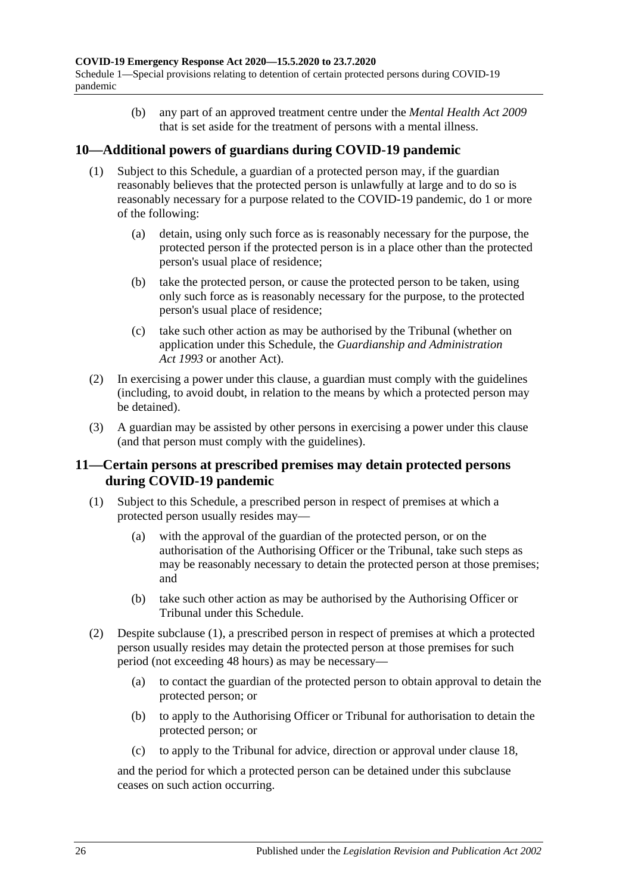Schedule 1—Special provisions relating to detention of certain protected persons during COVID-19 pandemic

> (b) any part of an approved treatment centre under the *[Mental Health Act](http://www.legislation.sa.gov.au/index.aspx?action=legref&type=act&legtitle=Mental%20Health%20Act%202009) 2009* that is set aside for the treatment of persons with a mental illness.

#### <span id="page-25-0"></span>**10—Additional powers of guardians during COVID-19 pandemic**

- (1) Subject to this Schedule, a guardian of a protected person may, if the guardian reasonably believes that the protected person is unlawfully at large and to do so is reasonably necessary for a purpose related to the COVID-19 pandemic, do 1 or more of the following:
	- (a) detain, using only such force as is reasonably necessary for the purpose, the protected person if the protected person is in a place other than the protected person's usual place of residence;
	- (b) take the protected person, or cause the protected person to be taken, using only such force as is reasonably necessary for the purpose, to the protected person's usual place of residence;
	- (c) take such other action as may be authorised by the Tribunal (whether on application under this Schedule, the *[Guardianship and Administration](http://www.legislation.sa.gov.au/index.aspx?action=legref&type=act&legtitle=Guardianship%20and%20Administration%20Act%201993)  Act [1993](http://www.legislation.sa.gov.au/index.aspx?action=legref&type=act&legtitle=Guardianship%20and%20Administration%20Act%201993)* or another Act).
- (2) In exercising a power under this clause, a guardian must comply with the guidelines (including, to avoid doubt, in relation to the means by which a protected person may be detained).
- (3) A guardian may be assisted by other persons in exercising a power under this clause (and that person must comply with the guidelines).

#### <span id="page-25-1"></span>**11—Certain persons at prescribed premises may detain protected persons during COVID-19 pandemic**

- <span id="page-25-3"></span><span id="page-25-2"></span>(1) Subject to this Schedule, a prescribed person in respect of premises at which a protected person usually resides may—
	- (a) with the approval of the guardian of the protected person, or on the authorisation of the Authorising Officer or the Tribunal, take such steps as may be reasonably necessary to detain the protected person at those premises; and
	- (b) take such other action as may be authorised by the Authorising Officer or Tribunal under this Schedule.
- (2) Despite [subclause](#page-25-2) (1), a prescribed person in respect of premises at which a protected person usually resides may detain the protected person at those premises for such period (not exceeding 48 hours) as may be necessary—
	- (a) to contact the guardian of the protected person to obtain approval to detain the protected person; or
	- (b) to apply to the Authorising Officer or Tribunal for authorisation to detain the protected person; or
	- (c) to apply to the Tribunal for advice, direction or approval under [clause](#page-28-1) 18,

and the period for which a protected person can be detained under this subclause ceases on such action occurring.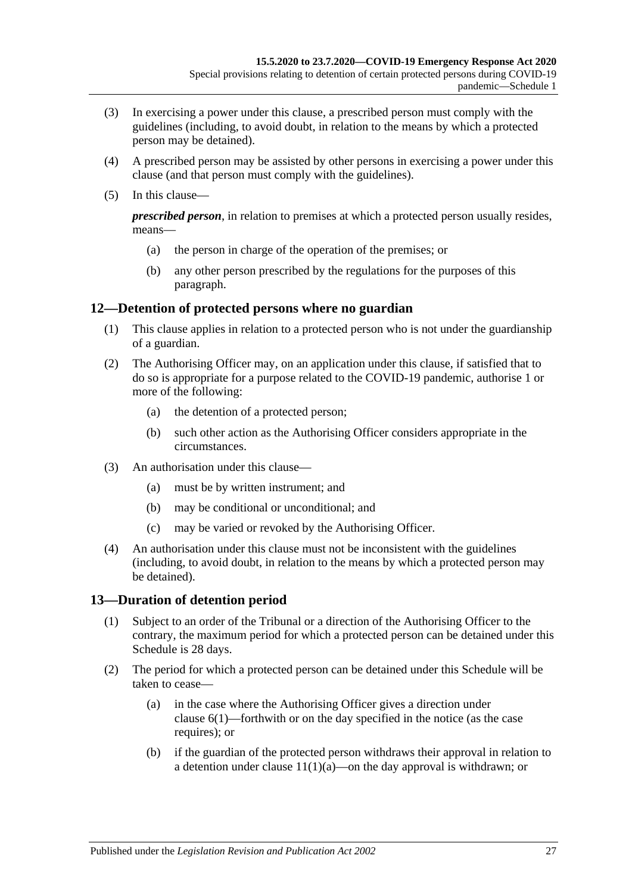- (3) In exercising a power under this clause, a prescribed person must comply with the guidelines (including, to avoid doubt, in relation to the means by which a protected person may be detained).
- (4) A prescribed person may be assisted by other persons in exercising a power under this clause (and that person must comply with the guidelines).
- (5) In this clause—

*prescribed person*, in relation to premises at which a protected person usually resides, means—

- (a) the person in charge of the operation of the premises; or
- (b) any other person prescribed by the regulations for the purposes of this paragraph.

#### <span id="page-26-0"></span>**12—Detention of protected persons where no guardian**

- (1) This clause applies in relation to a protected person who is not under the guardianship of a guardian.
- (2) The Authorising Officer may, on an application under this clause, if satisfied that to do so is appropriate for a purpose related to the COVID-19 pandemic, authorise 1 or more of the following:
	- (a) the detention of a protected person;
	- (b) such other action as the Authorising Officer considers appropriate in the circumstances.
- (3) An authorisation under this clause—
	- (a) must be by written instrument; and
	- (b) may be conditional or unconditional; and
	- (c) may be varied or revoked by the Authorising Officer.
- (4) An authorisation under this clause must not be inconsistent with the guidelines (including, to avoid doubt, in relation to the means by which a protected person may be detained).

#### <span id="page-26-1"></span>**13—Duration of detention period**

- (1) Subject to an order of the Tribunal or a direction of the Authorising Officer to the contrary, the maximum period for which a protected person can be detained under this Schedule is 28 days.
- (2) The period for which a protected person can be detained under this Schedule will be taken to cease—
	- (a) in the case where the Authorising Officer gives a direction under [clause](#page-23-3) 6(1)—forthwith or on the day specified in the notice (as the case requires); or
	- (b) if the guardian of the protected person withdraws their approval in relation to a detention under clause  $11(1)(a)$ —on the day approval is withdrawn; or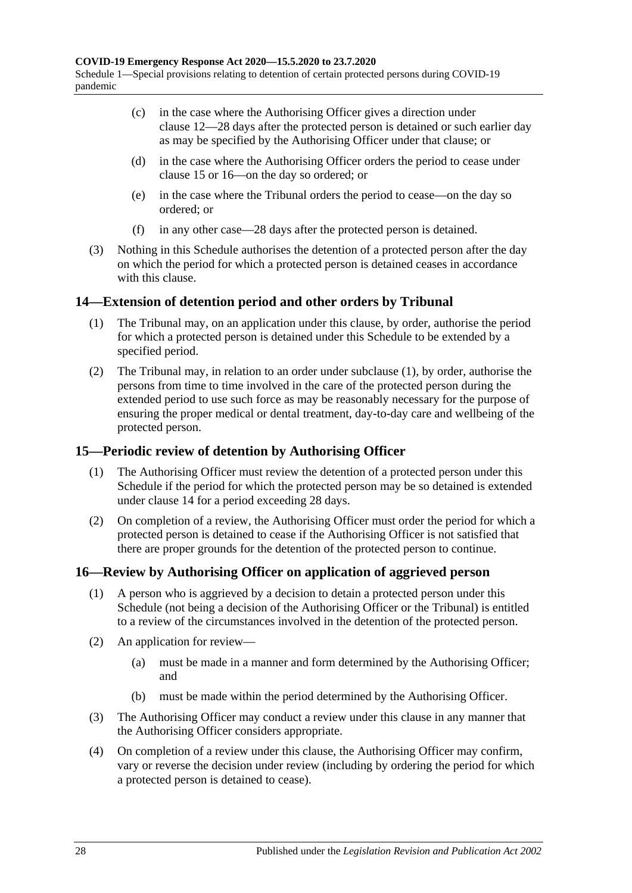- (c) in the case where the Authorising Officer gives a direction under [clause](#page-26-0) 12—28 days after the protected person is detained or such earlier day as may be specified by the Authorising Officer under that clause; or
- (d) in the case where the Authorising Officer orders the period to cease under [clause](#page-27-1) 15 or [16—](#page-27-2)on the day so ordered; or
- (e) in the case where the Tribunal orders the period to cease—on the day so ordered; or
- (f) in any other case—28 days after the protected person is detained.
- (3) Nothing in this Schedule authorises the detention of a protected person after the day on which the period for which a protected person is detained ceases in accordance with this clause.

#### <span id="page-27-3"></span><span id="page-27-0"></span>**14—Extension of detention period and other orders by Tribunal**

- (1) The Tribunal may, on an application under this clause, by order, authorise the period for which a protected person is detained under this Schedule to be extended by a specified period.
- (2) The Tribunal may, in relation to an order under [subclause](#page-27-3) (1), by order, authorise the persons from time to time involved in the care of the protected person during the extended period to use such force as may be reasonably necessary for the purpose of ensuring the proper medical or dental treatment, day-to-day care and wellbeing of the protected person.

## <span id="page-27-1"></span>**15—Periodic review of detention by Authorising Officer**

- (1) The Authorising Officer must review the detention of a protected person under this Schedule if the period for which the protected person may be so detained is extended under [clause](#page-27-0) 14 for a period exceeding 28 days.
- (2) On completion of a review, the Authorising Officer must order the period for which a protected person is detained to cease if the Authorising Officer is not satisfied that there are proper grounds for the detention of the protected person to continue.

## <span id="page-27-2"></span>**16—Review by Authorising Officer on application of aggrieved person**

- (1) A person who is aggrieved by a decision to detain a protected person under this Schedule (not being a decision of the Authorising Officer or the Tribunal) is entitled to a review of the circumstances involved in the detention of the protected person.
- (2) An application for review—
	- (a) must be made in a manner and form determined by the Authorising Officer; and
	- (b) must be made within the period determined by the Authorising Officer.
- (3) The Authorising Officer may conduct a review under this clause in any manner that the Authorising Officer considers appropriate.
- (4) On completion of a review under this clause, the Authorising Officer may confirm, vary or reverse the decision under review (including by ordering the period for which a protected person is detained to cease).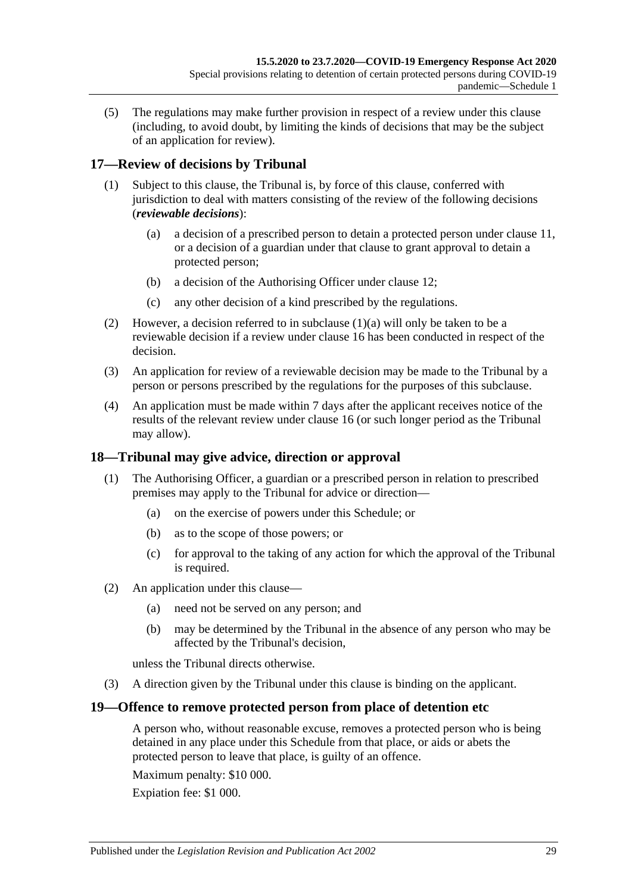(5) The regulations may make further provision in respect of a review under this clause (including, to avoid doubt, by limiting the kinds of decisions that may be the subject of an application for review).

## <span id="page-28-0"></span>**17—Review of decisions by Tribunal**

- <span id="page-28-3"></span>(1) Subject to this clause, the Tribunal is, by force of this clause, conferred with jurisdiction to deal with matters consisting of the review of the following decisions (*reviewable decisions*):
	- (a) a decision of a prescribed person to detain a protected person under [clause](#page-25-1) 11, or a decision of a guardian under that clause to grant approval to detain a protected person;
	- (b) a decision of the Authorising Officer under [clause](#page-26-0) 12;
	- (c) any other decision of a kind prescribed by the regulations.
- (2) However, a decision referred to in [subclause](#page-28-3) (1)(a) will only be taken to be a reviewable decision if a review under [clause](#page-27-2) 16 has been conducted in respect of the decision.
- (3) An application for review of a reviewable decision may be made to the Tribunal by a person or persons prescribed by the regulations for the purposes of this subclause.
- (4) An application must be made within 7 days after the applicant receives notice of the results of the relevant review under [clause](#page-27-2) 16 (or such longer period as the Tribunal may allow).

#### <span id="page-28-1"></span>**18—Tribunal may give advice, direction or approval**

- (1) The Authorising Officer, a guardian or a prescribed person in relation to prescribed premises may apply to the Tribunal for advice or direction—
	- (a) on the exercise of powers under this Schedule; or
	- (b) as to the scope of those powers; or
	- (c) for approval to the taking of any action for which the approval of the Tribunal is required.
- (2) An application under this clause—
	- (a) need not be served on any person; and
	- (b) may be determined by the Tribunal in the absence of any person who may be affected by the Tribunal's decision,

unless the Tribunal directs otherwise.

(3) A direction given by the Tribunal under this clause is binding on the applicant.

#### <span id="page-28-2"></span>**19—Offence to remove protected person from place of detention etc**

A person who, without reasonable excuse, removes a protected person who is being detained in any place under this Schedule from that place, or aids or abets the protected person to leave that place, is guilty of an offence.

Maximum penalty: \$10 000.

Expiation fee: \$1 000.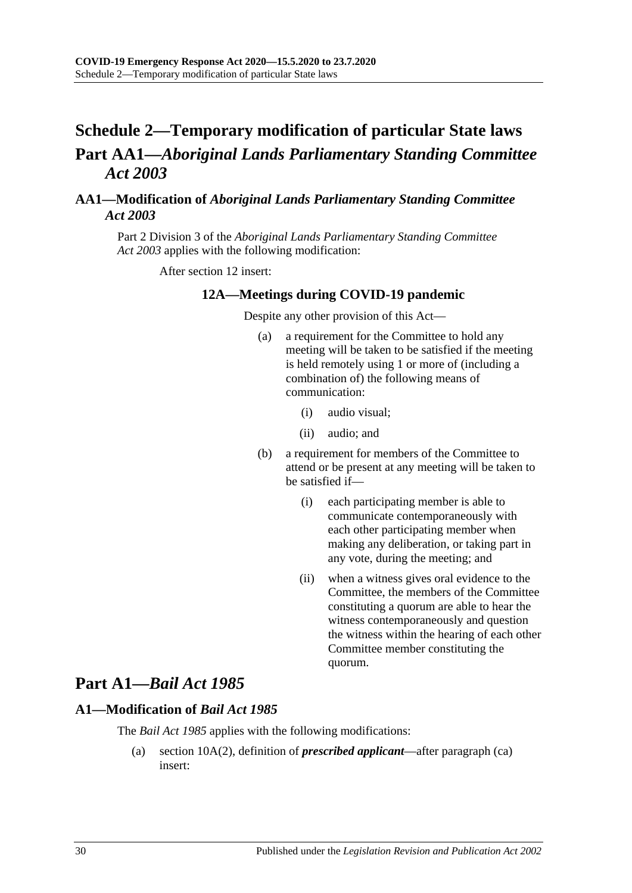## <span id="page-29-0"></span>**Schedule 2—Temporary modification of particular State laws Part AA1—***Aboriginal Lands Parliamentary Standing Committee Act 2003*

### <span id="page-29-1"></span>**AA1—Modification of** *Aboriginal Lands Parliamentary Standing Committee Act 2003*

Part 2 Division 3 of the *[Aboriginal Lands Parliamentary Standing Committee](http://www.legislation.sa.gov.au/index.aspx?action=legref&type=act&legtitle=Aboriginal%20Lands%20Parliamentary%20Standing%20Committee%20Act%202003)  Act [2003](http://www.legislation.sa.gov.au/index.aspx?action=legref&type=act&legtitle=Aboriginal%20Lands%20Parliamentary%20Standing%20Committee%20Act%202003)* applies with the following modification:

After section 12 insert:

#### **12A—Meetings during COVID-19 pandemic**

Despite any other provision of this Act—

- (a) a requirement for the Committee to hold any meeting will be taken to be satisfied if the meeting is held remotely using 1 or more of (including a combination of) the following means of communication:
	- (i) audio visual;
	- (ii) audio; and
- (b) a requirement for members of the Committee to attend or be present at any meeting will be taken to be satisfied if—
	- (i) each participating member is able to communicate contemporaneously with each other participating member when making any deliberation, or taking part in any vote, during the meeting; and
	- (ii) when a witness gives oral evidence to the Committee, the members of the Committee constituting a quorum are able to hear the witness contemporaneously and question the witness within the hearing of each other Committee member constituting the quorum.

## **Part A1—***Bail Act 1985*

#### <span id="page-29-2"></span>**A1—Modification of** *Bail Act 1985*

The *[Bail Act](http://www.legislation.sa.gov.au/index.aspx?action=legref&type=act&legtitle=Bail%20Act%201985) 1985* applies with the following modifications:

(a) section 10A(2), definition of *prescribed applicant*—after paragraph (ca) insert: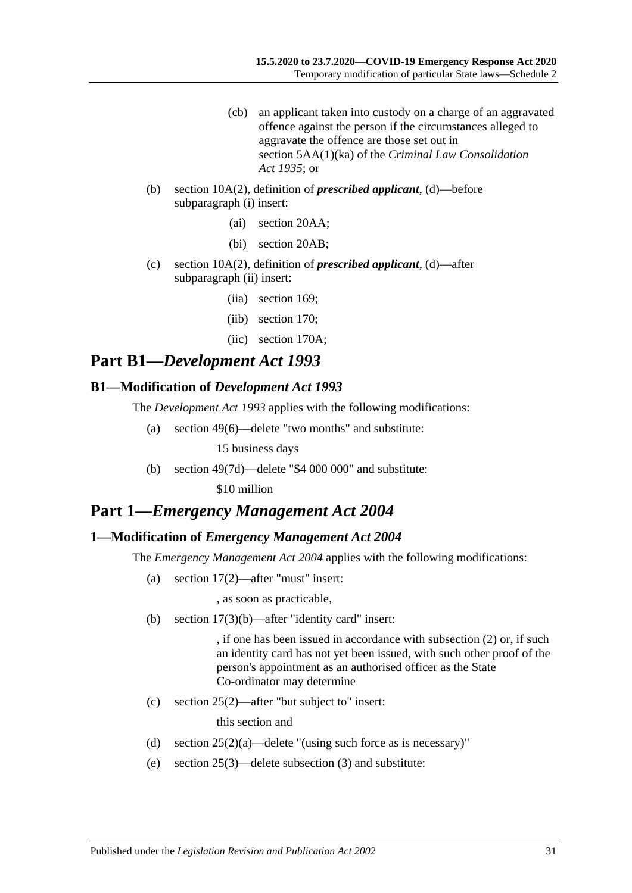- (cb) an applicant taken into custody on a charge of an aggravated offence against the person if the circumstances alleged to aggravate the offence are those set out in section 5AA(1)(ka) of the *[Criminal Law Consolidation](http://www.legislation.sa.gov.au/index.aspx?action=legref&type=act&legtitle=Criminal%20Law%20Consolidation%20Act%201935)  Act [1935](http://www.legislation.sa.gov.au/index.aspx?action=legref&type=act&legtitle=Criminal%20Law%20Consolidation%20Act%201935)*; or
- (b) section 10A(2), definition of *prescribed applicant*, (d)—before subparagraph (i) insert:
	- (ai) section 20AA;
	- (bi) section 20AB;
- (c) section 10A(2), definition of *prescribed applicant*, (d)—after subparagraph (ii) insert:
	- (iia) section 169;
	- (iib) section 170;
	- (iic) section 170A;

## **Part B1—***Development Act 1993*

#### <span id="page-30-0"></span>**B1—Modification of** *Development Act 1993*

The *[Development Act](http://www.legislation.sa.gov.au/index.aspx?action=legref&type=act&legtitle=Development%20Act%201993) 1993* applies with the following modifications:

(a) section 49(6)—delete "two months" and substitute:

15 business days

(b) section 49(7d)—delete "\$4 000 000" and substitute:

\$10 million

## **Part 1—***Emergency Management Act 2004*

#### <span id="page-30-1"></span>**1—Modification of** *Emergency Management Act 2004*

The *[Emergency Management Act](http://www.legislation.sa.gov.au/index.aspx?action=legref&type=act&legtitle=Emergency%20Management%20Act%202004) 2004* applies with the following modifications:

(a) section 17(2)—after "must" insert:

, as soon as practicable,

(b) section 17(3)(b)—after "identity card" insert:

, if one has been issued in accordance with subsection (2) or, if such an identity card has not yet been issued, with such other proof of the person's appointment as an authorised officer as the State Co-ordinator may determine

(c) section 25(2)—after "but subject to" insert:

this section and

- (d) section  $25(2)(a)$ —delete "(using such force as is necessary)"
- (e) section 25(3)—delete subsection (3) and substitute: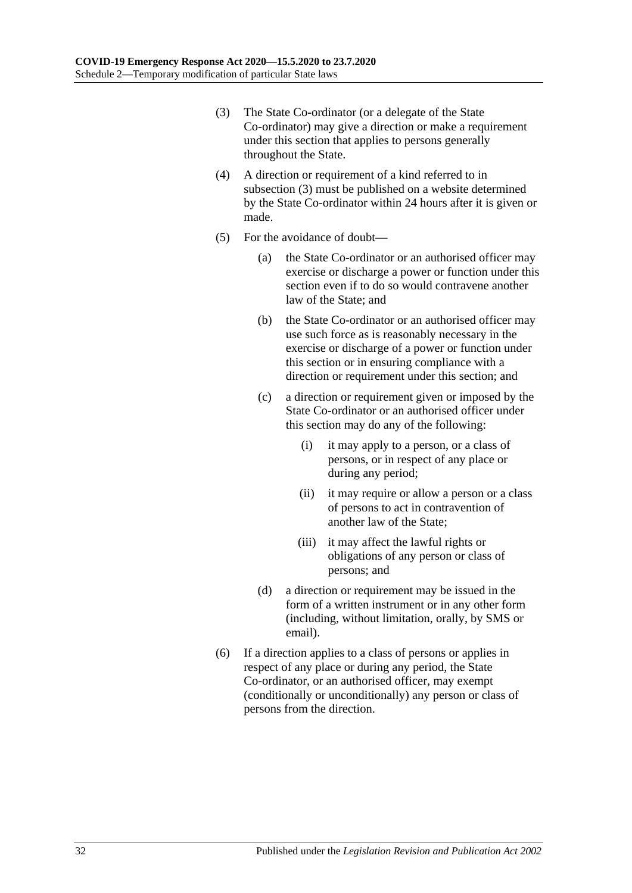- <span id="page-31-0"></span>(3) The State Co-ordinator (or a delegate of the State Co-ordinator) may give a direction or make a requirement under this section that applies to persons generally throughout the State.
- (4) A direction or requirement of a kind referred to in [subsection](#page-31-0) (3) must be published on a website determined by the State Co-ordinator within 24 hours after it is given or made.
- (5) For the avoidance of doubt—
	- (a) the State Co-ordinator or an authorised officer may exercise or discharge a power or function under this section even if to do so would contravene another law of the State; and
	- (b) the State Co-ordinator or an authorised officer may use such force as is reasonably necessary in the exercise or discharge of a power or function under this section or in ensuring compliance with a direction or requirement under this section; and
	- (c) a direction or requirement given or imposed by the State Co-ordinator or an authorised officer under this section may do any of the following:
		- (i) it may apply to a person, or a class of persons, or in respect of any place or during any period;
		- (ii) it may require or allow a person or a class of persons to act in contravention of another law of the State;
		- (iii) it may affect the lawful rights or obligations of any person or class of persons; and
	- (d) a direction or requirement may be issued in the form of a written instrument or in any other form (including, without limitation, orally, by SMS or email).
- (6) If a direction applies to a class of persons or applies in respect of any place or during any period, the State Co-ordinator, or an authorised officer, may exempt (conditionally or unconditionally) any person or class of persons from the direction.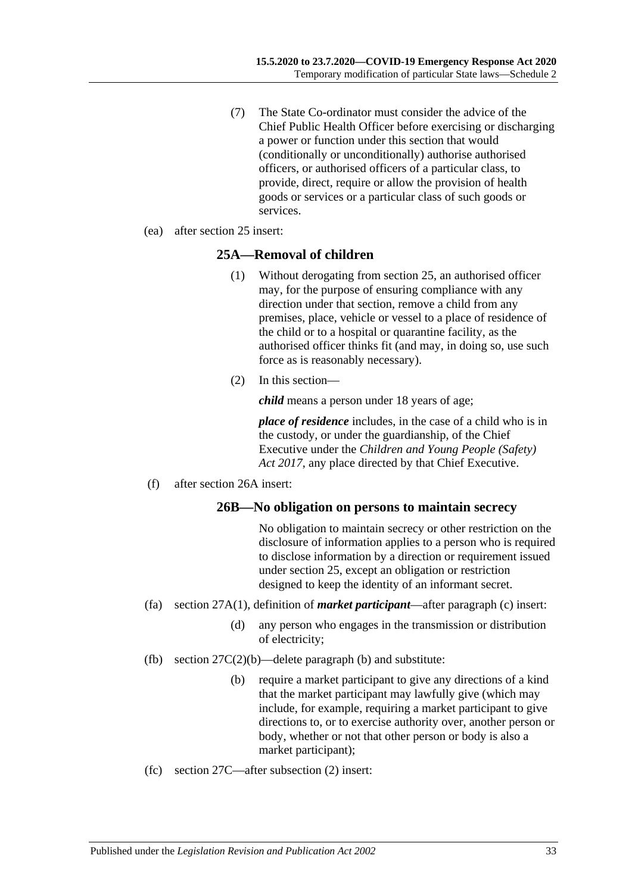- (7) The State Co-ordinator must consider the advice of the Chief Public Health Officer before exercising or discharging a power or function under this section that would (conditionally or unconditionally) authorise authorised officers, or authorised officers of a particular class, to provide, direct, require or allow the provision of health goods or services or a particular class of such goods or services.
- (ea) after section 25 insert:

#### **25A—Removal of children**

- (1) Without derogating from section 25, an authorised officer may, for the purpose of ensuring compliance with any direction under that section, remove a child from any premises, place, vehicle or vessel to a place of residence of the child or to a hospital or quarantine facility, as the authorised officer thinks fit (and may, in doing so, use such force as is reasonably necessary).
- (2) In this section—

*child* means a person under 18 years of age;

*place of residence* includes, in the case of a child who is in the custody, or under the guardianship, of the Chief Executive under the *[Children and Young People \(Safety\)](http://www.legislation.sa.gov.au/index.aspx?action=legref&type=act&legtitle=Children%20and%20Young%20People%20(Safety)%20Act%202017)  Act [2017](http://www.legislation.sa.gov.au/index.aspx?action=legref&type=act&legtitle=Children%20and%20Young%20People%20(Safety)%20Act%202017)*, any place directed by that Chief Executive.

(f) after section 26A insert:

#### **26B—No obligation on persons to maintain secrecy**

No obligation to maintain secrecy or other restriction on the disclosure of information applies to a person who is required to disclose information by a direction or requirement issued under section 25, except an obligation or restriction designed to keep the identity of an informant secret.

- (fa) section 27A(1), definition of *market participant*—after paragraph (c) insert:
	- (d) any person who engages in the transmission or distribution of electricity;
- (fb) section  $27C(2)(b)$ —delete paragraph (b) and substitute:
	- (b) require a market participant to give any directions of a kind that the market participant may lawfully give (which may include, for example, requiring a market participant to give directions to, or to exercise authority over, another person or body, whether or not that other person or body is also a market participant);
- (fc) section 27C—after subsection (2) insert: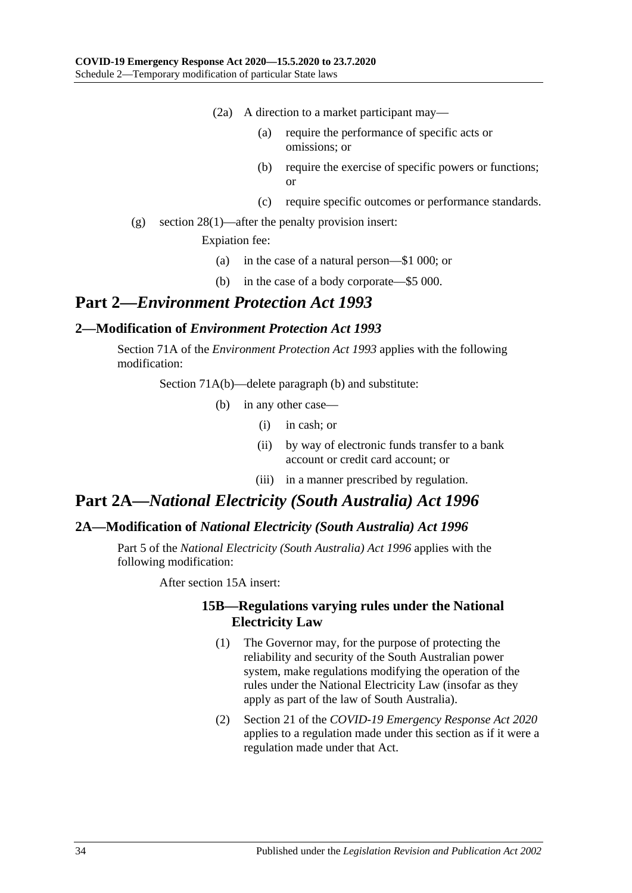- (2a) A direction to a market participant may—
	- (a) require the performance of specific acts or omissions; or
	- (b) require the exercise of specific powers or functions; or
	- (c) require specific outcomes or performance standards.
- (g) section 28(1)—after the penalty provision insert:

Expiation fee:

- (a) in the case of a natural person—\$1 000; or
- (b) in the case of a body corporate—\$5 000.

## **Part 2—***Environment Protection Act 1993*

#### <span id="page-33-0"></span>**2—Modification of** *Environment Protection Act 1993*

Section 71A of the *[Environment Protection Act](http://www.legislation.sa.gov.au/index.aspx?action=legref&type=act&legtitle=Environment%20Protection%20Act%201993) 1993* applies with the following modification:

Section 71A(b)—delete paragraph (b) and substitute:

- (b) in any other case—
	- (i) in cash; or
	- (ii) by way of electronic funds transfer to a bank account or credit card account; or
	- (iii) in a manner prescribed by regulation.

## **Part 2A—***National Electricity (South Australia) Act 1996*

#### <span id="page-33-1"></span>**2A—Modification of** *National Electricity (South Australia) Act 1996*

Part 5 of the *[National Electricity \(South Australia\) Act](http://www.legislation.sa.gov.au/index.aspx?action=legref&type=act&legtitle=National%20Electricity%20(South%20Australia)%20Act%201996) 1996* applies with the following modification:

After section 15A insert:

#### **15B—Regulations varying rules under the National Electricity Law**

- (1) The Governor may, for the purpose of protecting the reliability and security of the South Australian power system, make regulations modifying the operation of the rules under the National Electricity Law (insofar as they apply as part of the law of South Australia).
- (2) Section 21 of the *[COVID-19 Emergency Response Act](http://www.legislation.sa.gov.au/index.aspx?action=legref&type=act&legtitle=COVID-19%20Emergency%20Response%20Act%202020) 2020* applies to a regulation made under this section as if it were a regulation made under that Act.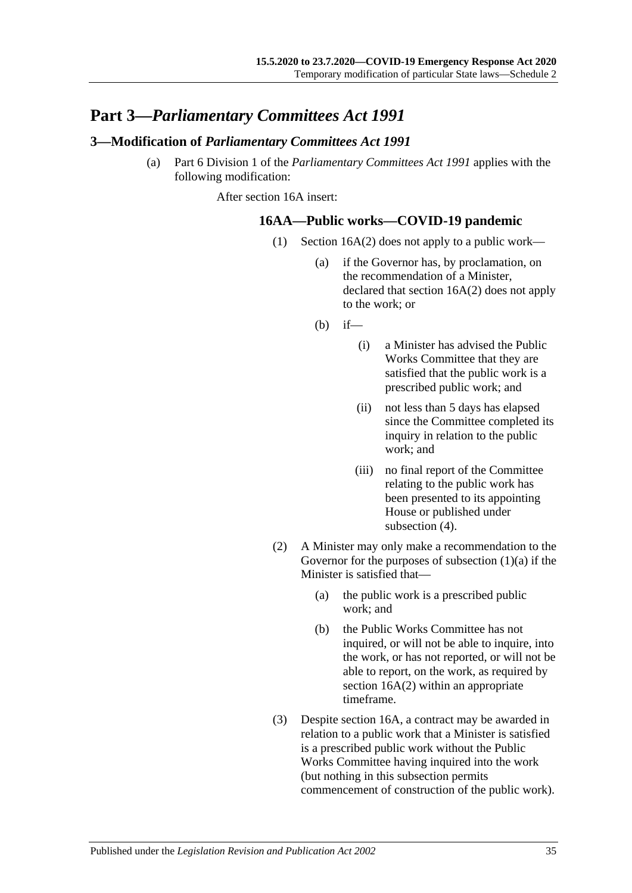## **Part 3—***Parliamentary Committees Act 1991*

#### <span id="page-34-0"></span>**3—Modification of** *Parliamentary Committees Act 1991*

<span id="page-34-1"></span>(a) Part 6 Division 1 of the *[Parliamentary Committees Act](http://www.legislation.sa.gov.au/index.aspx?action=legref&type=act&legtitle=Parliamentary%20Committees%20Act%201991) 1991* applies with the following modification:

After section 16A insert:

#### **16AA—Public works—COVID-19 pandemic**

- (1) Section 16A(2) does not apply to a public work—
	- (a) if the Governor has, by proclamation, on the recommendation of a Minister, declared that section 16A(2) does not apply to the work; or
	- (b) if—
		- (i) a Minister has advised the Public Works Committee that they are satisfied that the public work is a prescribed public work; and
		- (ii) not less than 5 days has elapsed since the Committee completed its inquiry in relation to the public work; and
		- (iii) no final report of the Committee relating to the public work has been presented to its appointing House or published under [subsection](#page-35-0)  $(4)$ .
- (2) A Minister may only make a recommendation to the Governor for the purposes of [subsection](#page-34-1)  $(1)(a)$  if the Minister is satisfied that—
	- (a) the public work is a prescribed public work; and
	- (b) the Public Works Committee has not inquired, or will not be able to inquire, into the work, or has not reported, or will not be able to report, on the work, as required by section 16A(2) within an appropriate timeframe.
- (3) Despite section 16A, a contract may be awarded in relation to a public work that a Minister is satisfied is a prescribed public work without the Public Works Committee having inquired into the work (but nothing in this subsection permits commencement of construction of the public work).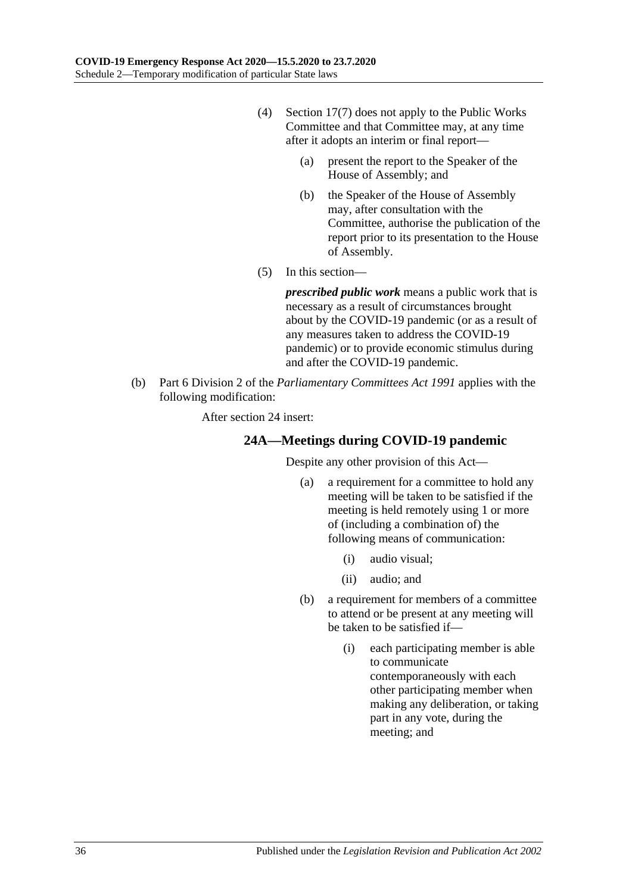- <span id="page-35-0"></span>(4) Section 17(7) does not apply to the Public Works Committee and that Committee may, at any time after it adopts an interim or final report—
	- (a) present the report to the Speaker of the House of Assembly; and
	- (b) the Speaker of the House of Assembly may, after consultation with the Committee, authorise the publication of the report prior to its presentation to the House of Assembly.
- (5) In this section—

*prescribed public work* means a public work that is necessary as a result of circumstances brought about by the COVID-19 pandemic (or as a result of any measures taken to address the COVID-19 pandemic) or to provide economic stimulus during and after the COVID-19 pandemic.

(b) Part 6 Division 2 of the *[Parliamentary Committees Act](http://www.legislation.sa.gov.au/index.aspx?action=legref&type=act&legtitle=Parliamentary%20Committees%20Act%201991) 1991* applies with the following modification:

After section 24 insert:

#### **24A—Meetings during COVID-19 pandemic**

Despite any other provision of this Act—

- (a) a requirement for a committee to hold any meeting will be taken to be satisfied if the meeting is held remotely using 1 or more of (including a combination of) the following means of communication:
	- (i) audio visual;
	- (ii) audio; and
- (b) a requirement for members of a committee to attend or be present at any meeting will be taken to be satisfied if—
	- (i) each participating member is able to communicate contemporaneously with each other participating member when making any deliberation, or taking part in any vote, during the meeting; and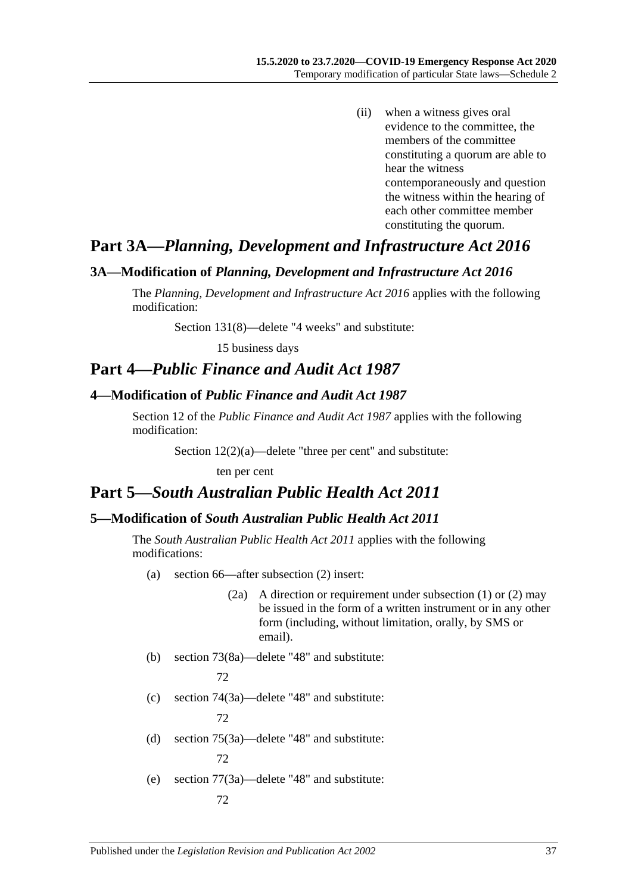(ii) when a witness gives oral evidence to the committee, the members of the committee constituting a quorum are able to hear the witness contemporaneously and question the witness within the hearing of each other committee member constituting the quorum.

## **Part 3A—***Planning, Development and Infrastructure Act 2016*

#### <span id="page-36-0"></span>**3A—Modification of** *Planning, Development and Infrastructure Act 2016*

The *[Planning, Development and Infrastructure Act](http://www.legislation.sa.gov.au/index.aspx?action=legref&type=act&legtitle=Planning%20Development%20and%20Infrastructure%20Act%202016) 2016* applies with the following modification:

Section 131(8)—delete "4 weeks" and substitute:

15 business days

## **Part 4—***Public Finance and Audit Act 1987*

#### <span id="page-36-1"></span>**4—Modification of** *Public Finance and Audit Act 1987*

Section 12 of the *[Public Finance and Audit Act](http://www.legislation.sa.gov.au/index.aspx?action=legref&type=act&legtitle=Public%20Finance%20and%20Audit%20Act%201987) 1987* applies with the following modification:

Section 12(2)(a)—delete "three per cent" and substitute:

ten per cent

## **Part 5—***South Australian Public Health Act 2011*

## <span id="page-36-2"></span>**5—Modification of** *South Australian Public Health Act 2011*

The *[South Australian Public Health Act](http://www.legislation.sa.gov.au/index.aspx?action=legref&type=act&legtitle=South%20Australian%20Public%20Health%20Act%202011) 2011* applies with the following modifications:

- (a) section 66—after subsection (2) insert:
	- (2a) A direction or requirement under subsection (1) or (2) may be issued in the form of a written instrument or in any other form (including, without limitation, orally, by SMS or email).
- (b) section 73(8a)—delete "48" and substitute: 72
- (c) section 74(3a)—delete "48" and substitute: 72
- (d) section 75(3a)—delete "48" and substitute: 72
- (e) section 77(3a)—delete "48" and substitute: 72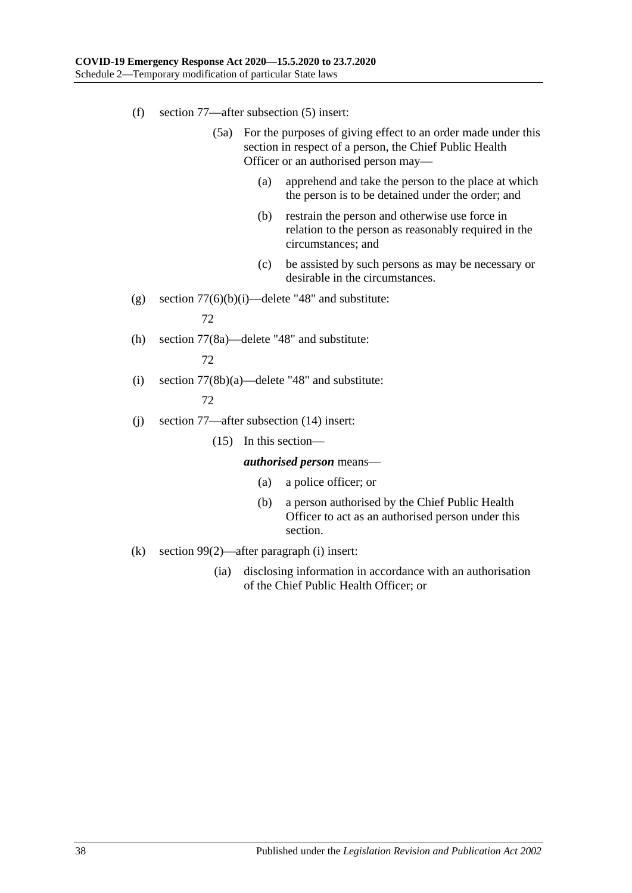- (f) section 77—after subsection (5) insert:
	- (5a) For the purposes of giving effect to an order made under this section in respect of a person, the Chief Public Health Officer or an authorised person may—
		- (a) apprehend and take the person to the place at which the person is to be detained under the order; and
		- (b) restrain the person and otherwise use force in relation to the person as reasonably required in the circumstances; and
		- (c) be assisted by such persons as may be necessary or desirable in the circumstances.
- (g) section  $77(6)(b)(i)$ —delete "48" and substitute:

72

72

- (h) section 77(8a)—delete "48" and substitute:
- (i) section  $77(8b)(a)$ —delete "48" and substitute: 72
- (j) section 77—after subsection (14) insert:
	- (15) In this section—

*authorised person* means—

- (a) a police officer; or
- (b) a person authorised by the Chief Public Health Officer to act as an authorised person under this section.
- (k) section 99(2)—after paragraph (i) insert:
	- (ia) disclosing information in accordance with an authorisation of the Chief Public Health Officer; or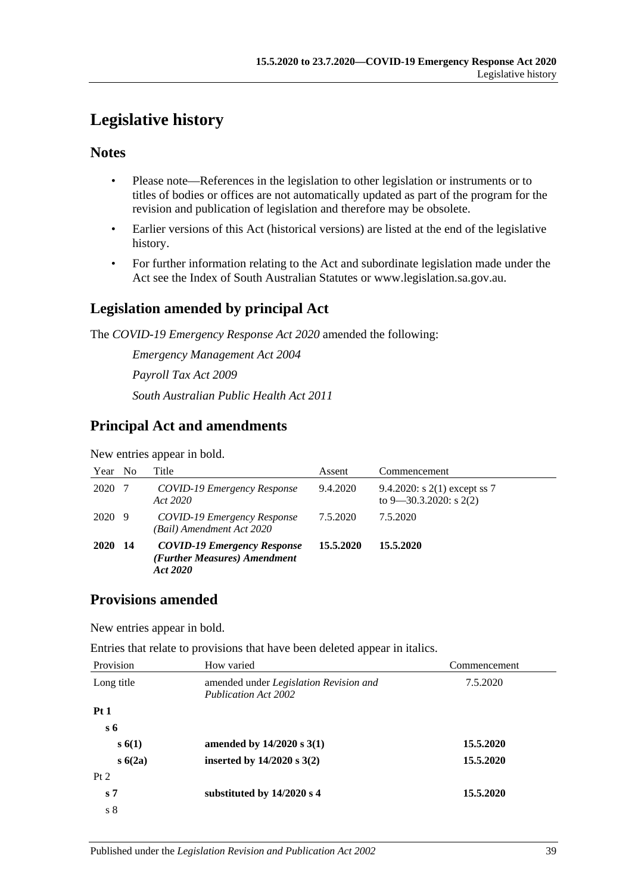## <span id="page-38-0"></span>**Legislative history**

## **Notes**

- Please note—References in the legislation to other legislation or instruments or to titles of bodies or offices are not automatically updated as part of the program for the revision and publication of legislation and therefore may be obsolete.
- Earlier versions of this Act (historical versions) are listed at the end of the legislative history.
- For further information relating to the Act and subordinate legislation made under the Act see the Index of South Australian Statutes or www.legislation.sa.gov.au.

## **Legislation amended by principal Act**

The *COVID-19 Emergency Response Act 2020* amended the following:

*Emergency Management Act 2004 Payroll Tax Act 2009 South Australian Public Health Act 2011*

## **Principal Act and amendments**

New entries appear in bold.

| Year   | N <sub>0</sub> | Title                                                                          | Assent    | Commencement                                                  |
|--------|----------------|--------------------------------------------------------------------------------|-----------|---------------------------------------------------------------|
| 2020   | - 7            | COVID-19 Emergency Response<br>Act 2020                                        | 9.4.2020  | 9.4.2020: s $2(1)$ except ss 7<br>to $9 - 30.3.2020$ : s 2(2) |
| 2020 9 |                | COVID-19 Emergency Response<br>(Bail) Amendment Act 2020                       | 7.5.2020  | 7.5.2020                                                      |
| 2020   | -14            | <b>COVID-19 Emergency Response</b><br>(Further Measures) Amendment<br>Act 2020 | 15.5.2020 | 15.5.2020                                                     |

## **Provisions amended**

New entries appear in bold.

Entries that relate to provisions that have been deleted appear in italics.

| Provision      | How varied                                                     | Commencement |
|----------------|----------------------------------------------------------------|--------------|
| Long title     | amended under Legislation Revision and<br>Publication Act 2002 | 7.5.2020     |
| Pt1            |                                                                |              |
| $s\,6$         |                                                                |              |
| s(6(1))        | amended by $14/2020$ s $3(1)$                                  | 15.5.2020    |
| s(6(2a))       | inserted by $14/2020$ s $3(2)$                                 | 15.5.2020    |
| Pt 2           |                                                                |              |
| s <sub>7</sub> | substituted by $14/2020$ s 4                                   | 15.5.2020    |
| s <sub>8</sub> |                                                                |              |